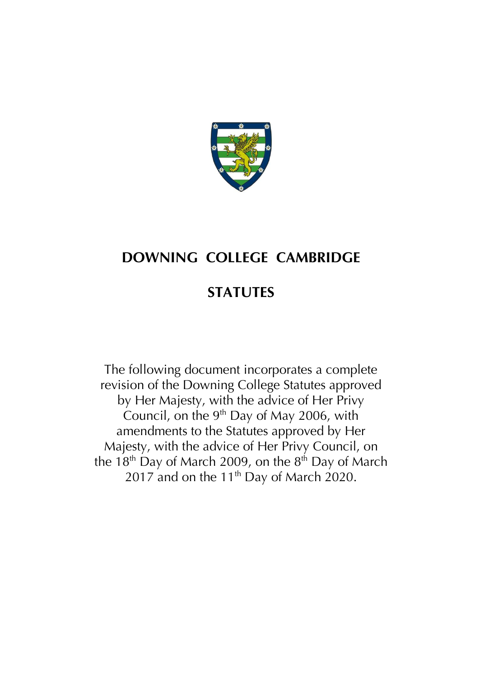

# **DOWNING COLLEGE CAMBRIDGE**

# **STATUTES**

The following document incorporates a complete revision of the Downing College Statutes approved by Her Majesty, with the advice of Her Privy Council, on the 9<sup>th</sup> Day of May 2006, with amendments to the Statutes approved by Her Majesty, with the advice of Her Privy Council, on the 18<sup>th</sup> Day of March 2009, on the 8<sup>th</sup> Day of March 2017 and on the 11<sup>th</sup> Day of March 2020.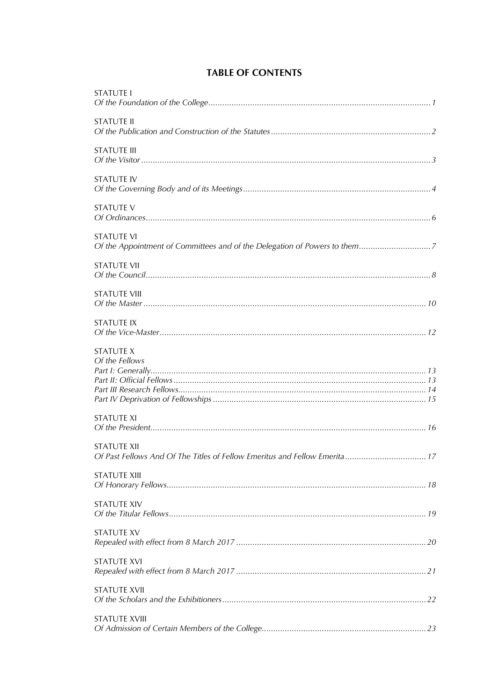| <b>STATUTE I</b>                                                                          |
|-------------------------------------------------------------------------------------------|
| <b>STATUTE II</b>                                                                         |
| <b>STATUTE III</b>                                                                        |
| <b>STATUTE IV</b>                                                                         |
| <b>STATUTE V</b>                                                                          |
| <b>STATUTE VI</b>                                                                         |
| <b>STATUTE VII</b>                                                                        |
| <b>STATUTE VIII</b>                                                                       |
| <b>STATUTE IX</b>                                                                         |
| <b>STATUTE X</b><br>Of the Fellows                                                        |
| <b>STATUTE XI</b>                                                                         |
| STATUTE XII<br>Of Past Fellows And Of The Titles of Fellow Emeritus and Fellow Emerita 17 |
| <b>STATUTE XIII</b>                                                                       |
| <b>STATUTE XIV</b>                                                                        |
| <b>STATUTE XV</b>                                                                         |
| <b>STATUTE XVI</b>                                                                        |
| <b>STATUTE XVII</b>                                                                       |
| <b>STATUTE XVIII</b>                                                                      |

# **TABLE OF CONTENTS**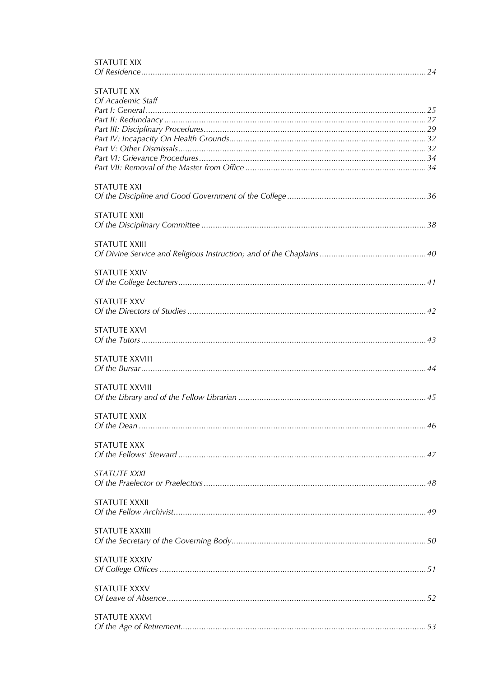| STATUTE XX<br>Of Academic Staff |
|---------------------------------|
|                                 |
|                                 |
|                                 |
|                                 |
|                                 |
|                                 |
|                                 |
| <b>STATUTE XXI</b>              |
| <b>STATUTE XXII</b>             |
| <b>STATUTE XXIII</b>            |
|                                 |
| <b>STATUTE XXIV</b>             |
| <b>STATUTE XXV</b>              |
|                                 |
|                                 |
| <b>STATUTE XXVI</b>             |
|                                 |
| <b>STATUTE XXVII1</b>           |
|                                 |
| <b>STATUTE XXVIII</b>           |
| STATUTE XXIX                    |
|                                 |
|                                 |
| STATUTE XXX                     |
|                                 |
| <b>STATUTE XXXI</b>             |
|                                 |
| <b>STATUTE XXXII</b>            |
|                                 |
| <b>STATUTE XXXIII</b>           |
|                                 |
| <b>STATUTE XXXIV</b>            |
|                                 |
| STATUTE XXXV                    |
|                                 |
| STATUTE XXXVI                   |
|                                 |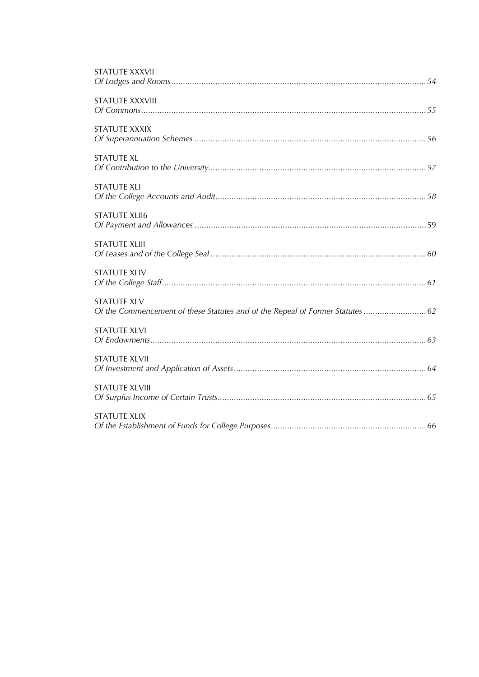| <b>STATUTE XXXVII</b>                                                                                |
|------------------------------------------------------------------------------------------------------|
| <b>STATUTE XXXVIII</b>                                                                               |
| <b>STATUTE XXXIX</b>                                                                                 |
| <b>STATUTE XL</b>                                                                                    |
| <b>STATUTE XLI</b>                                                                                   |
| <b>STATUTE XLII6</b>                                                                                 |
| <b>STATUTE XLIII</b>                                                                                 |
| <b>STATUTE XLIV</b>                                                                                  |
| <b>STATUTE XLV</b><br>Of the Commencement of these Statutes and of the Repeal of Former Statutes  62 |
| <b>STATUTE XLVI</b>                                                                                  |
| <b>STATUTE XLVII</b>                                                                                 |
| <b>STATUTE XLVIII</b>                                                                                |
| <b>STATUTE XLIX</b>                                                                                  |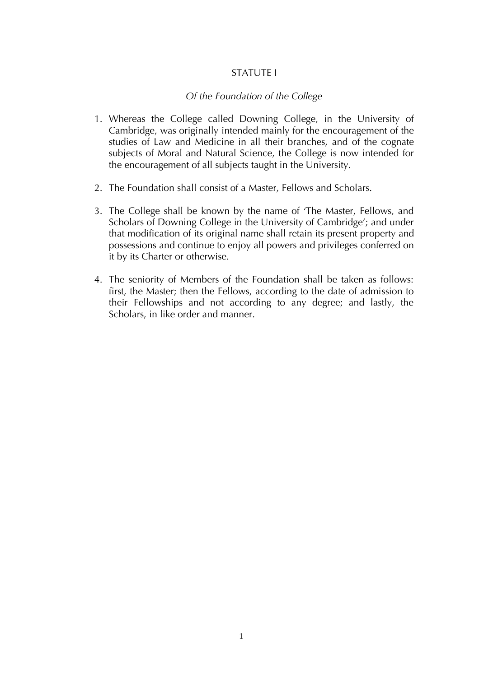## STATUTE I

## *Of the Foundation of the College*

- 1. Whereas the College called Downing College, in the University of Cambridge, was originally intended mainly for the encouragement of the studies of Law and Medicine in all their branches, and of the cognate subjects of Moral and Natural Science, the College is now intended for the encouragement of all subjects taught in the University.
- 2. The Foundation shall consist of a Master, Fellows and Scholars.
- 3. The College shall be known by the name of 'The Master, Fellows, and Scholars of Downing College in the University of Cambridge'; and under that modification of its original name shall retain its present property and possessions and continue to enjoy all powers and privileges conferred on it by its Charter or otherwise.
- 4. The seniority of Members of the Foundation shall be taken as follows: first, the Master; then the Fellows, according to the date of admission to their Fellowships and not according to any degree; and lastly, the Scholars, in like order and manner.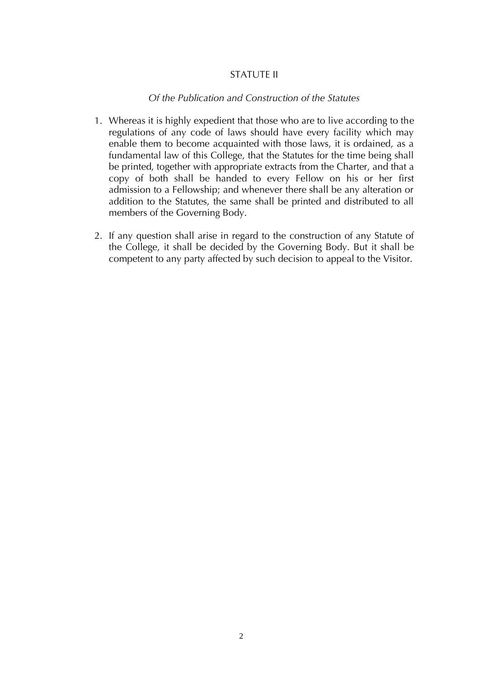## STATUTE II

## *Of the Publication and Construction of the Statutes*

- 1. Whereas it is highly expedient that those who are to live according to the regulations of any code of laws should have every facility which may enable them to become acquainted with those laws, it is ordained, as a fundamental law of this College, that the Statutes for the time being shall be printed, together with appropriate extracts from the Charter, and that a copy of both shall be handed to every Fellow on his or her first admission to a Fellowship; and whenever there shall be any alteration or addition to the Statutes, the same shall be printed and distributed to all members of the Governing Body.
- 2. If any question shall arise in regard to the construction of any Statute of the College, it shall be decided by the Governing Body. But it shall be competent to any party affected by such decision to appeal to the Visitor.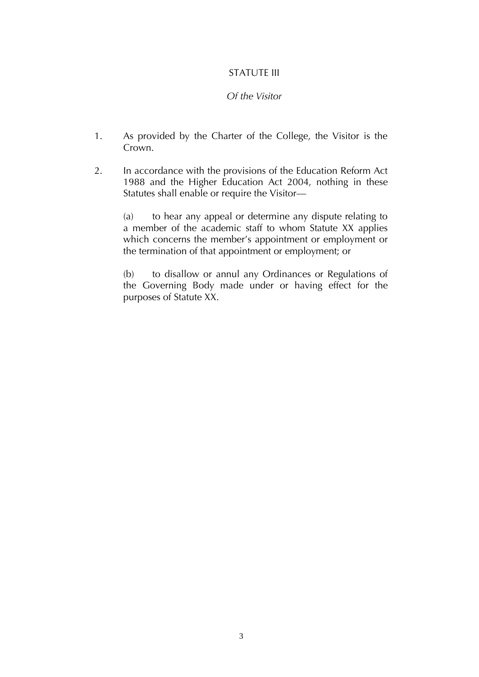## STATUTE III

# *Of the Visitor*

- 1. As provided by the Charter of the College, the Visitor is the Crown.
- 2. In accordance with the provisions of the Education Reform Act 1988 and the Higher Education Act 2004, nothing in these Statutes shall enable or require the Visitor—

(a) to hear any appeal or determine any dispute relating to a member of the academic staff to whom Statute XX applies which concerns the member's appointment or employment or the termination of that appointment or employment; or

(b) to disallow or annul any Ordinances or Regulations of the Governing Body made under or having effect for the purposes of Statute XX.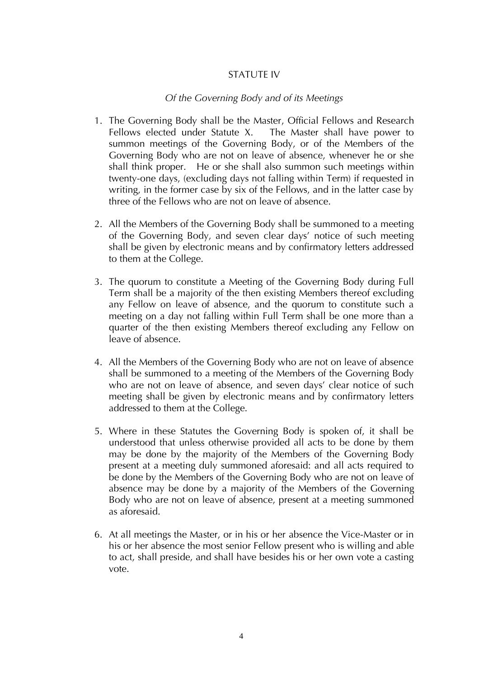## STATUTF IV

## *Of the Governing Body and of its Meetings*

- 1. The Governing Body shall be the Master, Official Fellows and Research Fellows elected under Statute X. The Master shall have power to summon meetings of the Governing Body, or of the Members of the Governing Body who are not on leave of absence, whenever he or she shall think proper. He or she shall also summon such meetings within twenty-one days, (excluding days not falling within Term) if requested in writing, in the former case by six of the Fellows, and in the latter case by three of the Fellows who are not on leave of absence.
- 2. All the Members of the Governing Body shall be summoned to a meeting of the Governing Body, and seven clear days' notice of such meeting shall be given by electronic means and by confirmatory letters addressed to them at the College.
- 3. The quorum to constitute a Meeting of the Governing Body during Full Term shall be a majority of the then existing Members thereof excluding any Fellow on leave of absence, and the quorum to constitute such a meeting on a day not falling within Full Term shall be one more than a quarter of the then existing Members thereof excluding any Fellow on leave of absence.
- 4. All the Members of the Governing Body who are not on leave of absence shall be summoned to a meeting of the Members of the Governing Body who are not on leave of absence, and seven days' clear notice of such meeting shall be given by electronic means and by confirmatory letters addressed to them at the College.
- 5. Where in these Statutes the Governing Body is spoken of, it shall be understood that unless otherwise provided all acts to be done by them may be done by the majority of the Members of the Governing Body present at a meeting duly summoned aforesaid: and all acts required to be done by the Members of the Governing Body who are not on leave of absence may be done by a majority of the Members of the Governing Body who are not on leave of absence, present at a meeting summoned as aforesaid.
- 6. At all meetings the Master, or in his or her absence the Vice-Master or in his or her absence the most senior Fellow present who is willing and able to act, shall preside, and shall have besides his or her own vote a casting vote.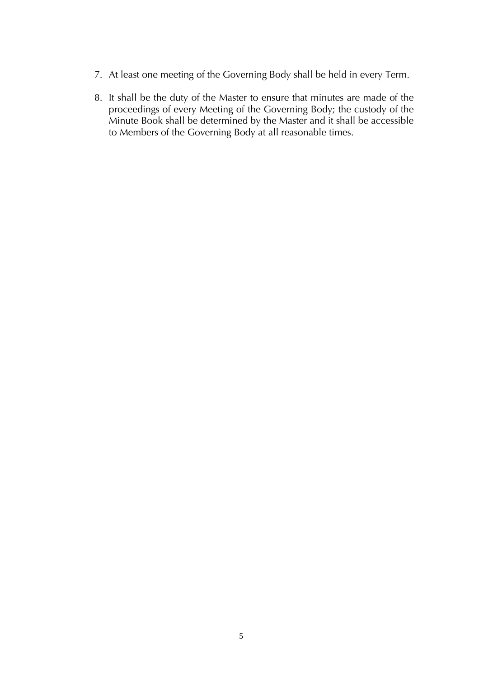- 7. At least one meeting of the Governing Body shall be held in every Term.
- 8. It shall be the duty of the Master to ensure that minutes are made of the proceedings of every Meeting of the Governing Body; the custody of the Minute Book shall be determined by the Master and it shall be accessible to Members of the Governing Body at all reasonable times.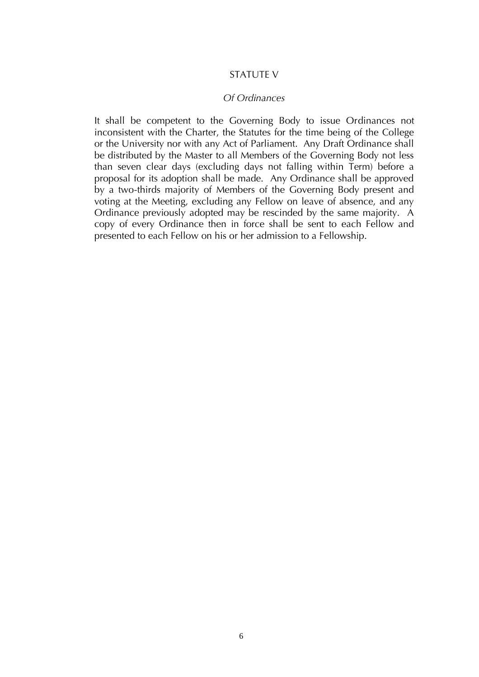#### STATUTE V

#### *Of Ordinances*

It shall be competent to the Governing Body to issue Ordinances not inconsistent with the Charter, the Statutes for the time being of the College or the University nor with any Act of Parliament. Any Draft Ordinance shall be distributed by the Master to all Members of the Governing Body not less than seven clear days (excluding days not falling within Term) before a proposal for its adoption shall be made. Any Ordinance shall be approved by a two-thirds majority of Members of the Governing Body present and voting at the Meeting, excluding any Fellow on leave of absence, and any Ordinance previously adopted may be rescinded by the same majority. A copy of every Ordinance then in force shall be sent to each Fellow and presented to each Fellow on his or her admission to a Fellowship.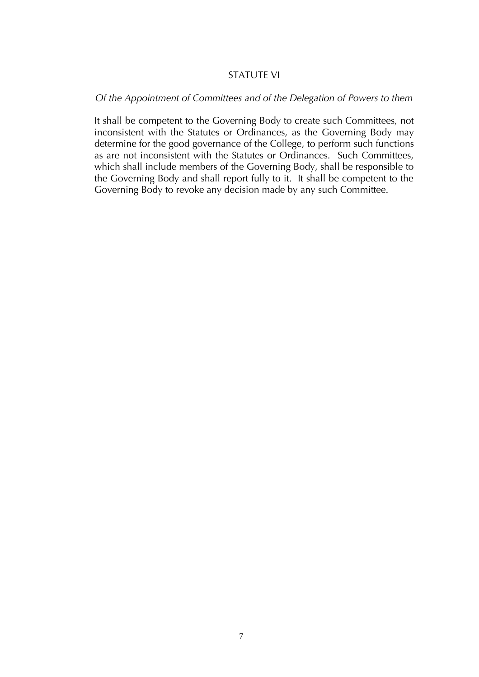## STATUTE VI

#### *Of the Appointment of Committees and of the Delegation of Powers to them*

It shall be competent to the Governing Body to create such Committees, not inconsistent with the Statutes or Ordinances, as the Governing Body may determine for the good governance of the College, to perform such functions as are not inconsistent with the Statutes or Ordinances. Such Committees, which shall include members of the Governing Body, shall be responsible to the Governing Body and shall report fully to it. It shall be competent to the Governing Body to revoke any decision made by any such Committee.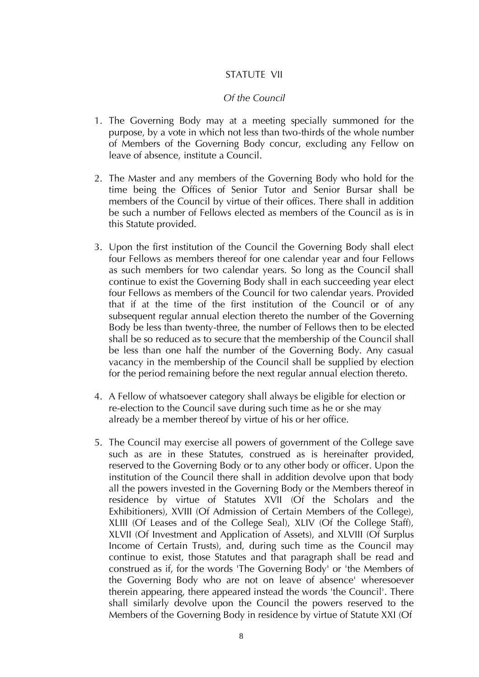## STATUTE VII

#### *Of the Council*

- 1. The Governing Body may at a meeting specially summoned for the purpose, by a vote in which not less than two-thirds of the whole number of Members of the Governing Body concur, excluding any Fellow on leave of absence, institute a Council.
- 2. The Master and any members of the Governing Body who hold for the time being the Offices of Senior Tutor and Senior Bursar shall be members of the Council by virtue of their offices. There shall in addition be such a number of Fellows elected as members of the Council as is in this Statute provided.
- 3. Upon the first institution of the Council the Governing Body shall elect four Fellows as members thereof for one calendar year and four Fellows as such members for two calendar years. So long as the Council shall continue to exist the Governing Body shall in each succeeding year elect four Fellows as members of the Council for two calendar years. Provided that if at the time of the first institution of the Council or of any subsequent regular annual election thereto the number of the Governing Body be less than twenty-three, the number of Fellows then to be elected shall be so reduced as to secure that the membership of the Council shall be less than one half the number of the Governing Body. Any casual vacancy in the membership of the Council shall be supplied by election for the period remaining before the next regular annual election thereto.
- 4. A Fellow of whatsoever category shall always be eligible for election or re-election to the Council save during such time as he or she may already be a member thereof by virtue of his or her office.
- 5. The Council may exercise all powers of government of the College save such as are in these Statutes, construed as is hereinafter provided, reserved to the Governing Body or to any other body or officer. Upon the institution of the Council there shall in addition devolve upon that body all the powers invested in the Governing Body or the Members thereof in residence by virtue of Statutes XVII (Of the Scholars and the Exhibitioners), XVIII (Of Admission of Certain Members of the College), XLIII (Of Leases and of the College Seal), XLIV (Of the College Staff), XLVII (Of Investment and Application of Assets), and XLVIII (Of Surplus Income of Certain Trusts), and, during such time as the Council may continue to exist, those Statutes and that paragraph shall be read and construed as if, for the words 'The Governing Body' or 'the Members of the Governing Body who are not on leave of absence' wheresoever therein appearing, there appeared instead the words 'the Council'. There shall similarly devolve upon the Council the powers reserved to the Members of the Governing Body in residence by virtue of Statute XXI (Of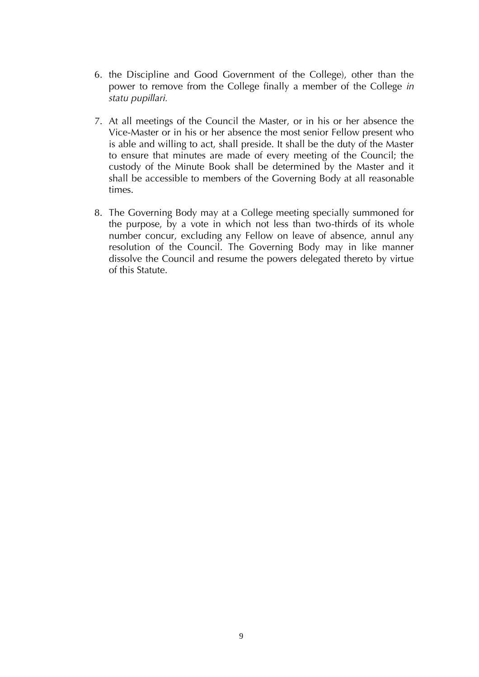- 6. the Discipline and Good Government of the College), other than the power to remove from the College finally a member of the College *in statu pupillari.*
- 7. At all meetings of the Council the Master, or in his or her absence the Vice-Master or in his or her absence the most senior Fellow present who is able and willing to act, shall preside. It shall be the duty of the Master to ensure that minutes are made of every meeting of the Council; the custody of the Minute Book shall be determined by the Master and it shall be accessible to members of the Governing Body at all reasonable times.
- 8. The Governing Body may at a College meeting specially summoned for the purpose, by a vote in which not less than two-thirds of its whole number concur, excluding any Fellow on leave of absence, annul any resolution of the Council. The Governing Body may in like manner dissolve the Council and resume the powers delegated thereto by virtue of this Statute.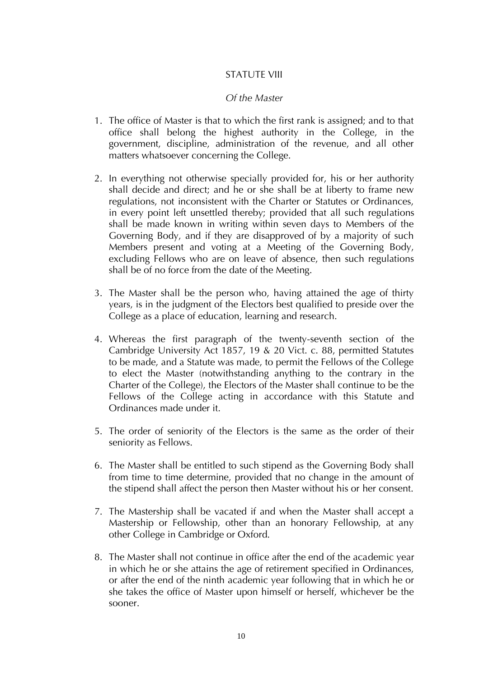## STATUTE VIII

#### *Of the Master*

- 1. The office of Master is that to which the first rank is assigned; and to that office shall belong the highest authority in the College, in the government, discipline, administration of the revenue, and all other matters whatsoever concerning the College.
- 2. In everything not otherwise specially provided for, his or her authority shall decide and direct; and he or she shall be at liberty to frame new regulations, not inconsistent with the Charter or Statutes or Ordinances, in every point left unsettled thereby; provided that all such regulations shall be made known in writing within seven days to Members of the Governing Body, and if they are disapproved of by a majority of such Members present and voting at a Meeting of the Governing Body, excluding Fellows who are on leave of absence, then such regulations shall be of no force from the date of the Meeting.
- 3. The Master shall be the person who, having attained the age of thirty years, is in the judgment of the Electors best qualified to preside over the College as a place of education, learning and research.
- 4. Whereas the first paragraph of the twenty-seventh section of the Cambridge University Act 1857, 19 & 20 Vict. c. 88, permitted Statutes to be made, and a Statute was made, to permit the Fellows of the College to elect the Master (notwithstanding anything to the contrary in the Charter of the College), the Electors of the Master shall continue to be the Fellows of the College acting in accordance with this Statute and Ordinances made under it.
- 5. The order of seniority of the Electors is the same as the order of their seniority as Fellows.
- 6. The Master shall be entitled to such stipend as the Governing Body shall from time to time determine, provided that no change in the amount of the stipend shall affect the person then Master without his or her consent.
- 7. The Mastership shall be vacated if and when the Master shall accept a Mastership or Fellowship, other than an honorary Fellowship, at any other College in Cambridge or Oxford.
- 8. The Master shall not continue in office after the end of the academic year in which he or she attains the age of retirement specified in Ordinances, or after the end of the ninth academic year following that in which he or she takes the office of Master upon himself or herself, whichever be the sooner.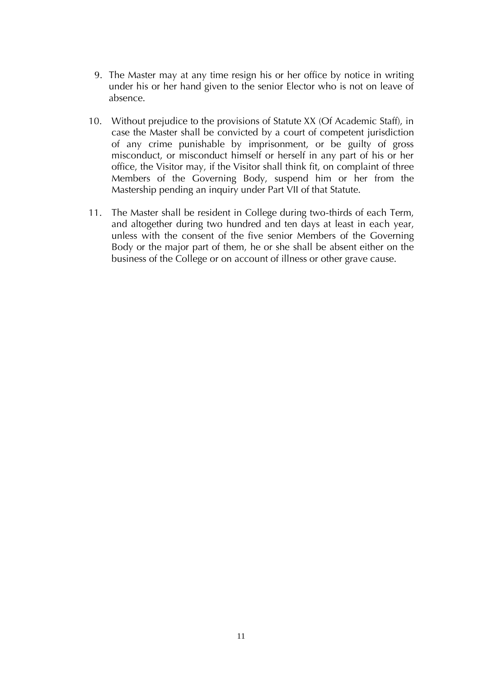- 9. The Master may at any time resign his or her office by notice in writing under his or her hand given to the senior Elector who is not on leave of absence.
- 10. Without prejudice to the provisions of Statute XX (Of Academic Staff), in case the Master shall be convicted by a court of competent jurisdiction of any crime punishable by imprisonment, or be guilty of gross misconduct, or misconduct himself or herself in any part of his or her office, the Visitor may, if the Visitor shall think fit, on complaint of three Members of the Governing Body, suspend him or her from the Mastership pending an inquiry under Part VII of that Statute.
- 11. The Master shall be resident in College during two-thirds of each Term, and altogether during two hundred and ten days at least in each year, unless with the consent of the five senior Members of the Governing Body or the major part of them, he or she shall be absent either on the business of the College or on account of illness or other grave cause.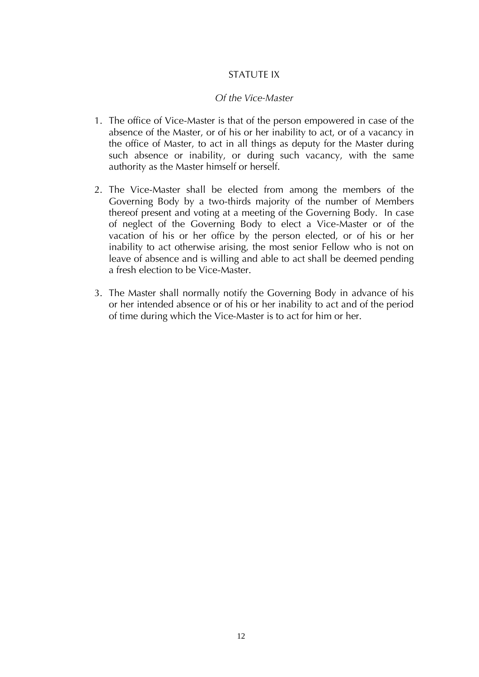## STATUTE IX

#### *Of the Vice-Master*

- 1. The office of Vice-Master is that of the person empowered in case of the absence of the Master, or of his or her inability to act, or of a vacancy in the office of Master, to act in all things as deputy for the Master during such absence or inability, or during such vacancy, with the same authority as the Master himself or herself.
- 2. The Vice-Master shall be elected from among the members of the Governing Body by a two-thirds majority of the number of Members thereof present and voting at a meeting of the Governing Body. In case of neglect of the Governing Body to elect a Vice-Master or of the vacation of his or her office by the person elected, or of his or her inability to act otherwise arising, the most senior Fellow who is not on leave of absence and is willing and able to act shall be deemed pending a fresh election to be Vice-Master.
- 3. The Master shall normally notify the Governing Body in advance of his or her intended absence or of his or her inability to act and of the period of time during which the Vice-Master is to act for him or her.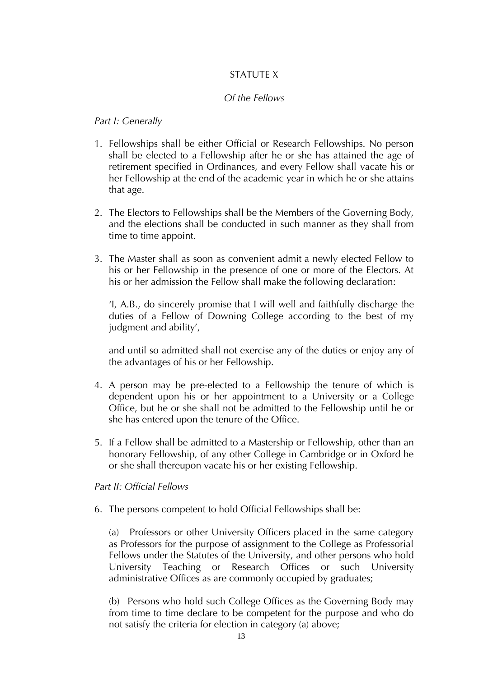# STATUTE X

## *Of the Fellows*

## *Part I: Generally*

- 1. Fellowships shall be either Official or Research Fellowships. No person shall be elected to a Fellowship after he or she has attained the age of retirement specified in Ordinances, and every Fellow shall vacate his or her Fellowship at the end of the academic year in which he or she attains that age.
- 2. The Electors to Fellowships shall be the Members of the Governing Body, and the elections shall be conducted in such manner as they shall from time to time appoint.
- 3. The Master shall as soon as convenient admit a newly elected Fellow to his or her Fellowship in the presence of one or more of the Electors. At his or her admission the Fellow shall make the following declaration:

'I, A.B., do sincerely promise that I will well and faithfully discharge the duties of a Fellow of Downing College according to the best of my judgment and ability',

and until so admitted shall not exercise any of the duties or enjoy any of the advantages of his or her Fellowship.

- 4. A person may be pre-elected to a Fellowship the tenure of which is dependent upon his or her appointment to a University or a College Office, but he or she shall not be admitted to the Fellowship until he or she has entered upon the tenure of the Office.
- 5. If a Fellow shall be admitted to a Mastership or Fellowship, other than an honorary Fellowship, of any other College in Cambridge or in Oxford he or she shall thereupon vacate his or her existing Fellowship.

#### *Part II: Official Fellows*

6. The persons competent to hold Official Fellowships shall be:

(a) Professors or other University Officers placed in the same category as Professors for the purpose of assignment to the College as Professorial Fellows under the Statutes of the University, and other persons who hold University Teaching or Research Offices or such University administrative Offices as are commonly occupied by graduates;

(b) Persons who hold such College Offices as the Governing Body may from time to time declare to be competent for the purpose and who do not satisfy the criteria for election in category (a) above;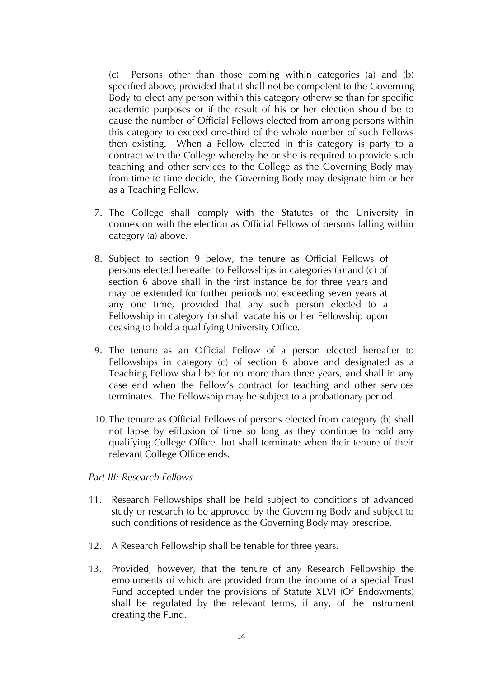(c) Persons other than those coming within categories (a) and (b) specified above, provided that it shall not be competent to the Governing Body to elect any person within this category otherwise than for specific academic purposes or if the result of his or her election should be to cause the number of Official Fellows elected from among persons within this category to exceed one-third of the whole number of such Fellows then existing. When a Fellow elected in this category is party to a contract with the College whereby he or she is required to provide such teaching and other services to the College as the Governing Body may from time to time decide, the Governing Body may designate him or her as a Teaching Fellow.

- 7. The College shall comply with the Statutes of the University in connexion with the election as Official Fellows of persons falling within category (a) above.
- 8. Subject to section 9 below, the tenure as Official Fellows of persons elected hereafter to Fellowships in categories (a) and (c) of section 6 above shall in the first instance be for three years and may be extended for further periods not exceeding seven years at any one time, provided that any such person elected to a Fellowship in category (a) shall vacate his or her Fellowship upon ceasing to hold a qualifying University Office.
- 9. The tenure as an Official Fellow of a person elected hereafter to Fellowships in category (c) of section 6 above and designated as a Teaching Fellow shall be for no more than three years, and shall in any case end when the Fellow's contract for teaching and other services terminates. The Fellowship may be subject to a probationary period.
- 10.The tenure as Official Fellows of persons elected from category (b) shall not lapse by effluxion of time so long as they continue to hold any qualifying College Office, but shall terminate when their tenure of their relevant College Office ends.

#### *Part III: Research Fellows*

- 11. Research Fellowships shall be held subject to conditions of advanced study or research to be approved by the Governing Body and subject to such conditions of residence as the Governing Body may prescribe.
- 12. A Research Fellowship shall be tenable for three years.
- 13. Provided, however, that the tenure of any Research Fellowship the emoluments of which are provided from the income of a special Trust Fund accepted under the provisions of Statute XLVI (Of Endowments) shall be regulated by the relevant terms, if any, of the Instrument creating the Fund.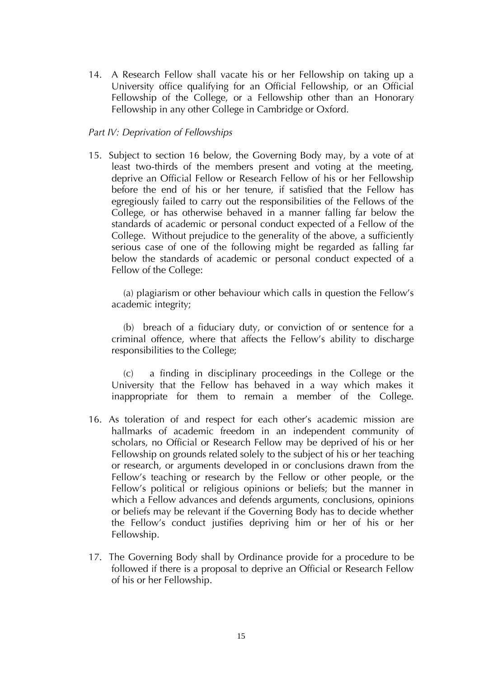14. A Research Fellow shall vacate his or her Fellowship on taking up a University office qualifying for an Official Fellowship, or an Official Fellowship of the College, or a Fellowship other than an Honorary Fellowship in any other College in Cambridge or Oxford.

## *Part IV: Deprivation of Fellowships*

15. Subject to section 16 below, the Governing Body may, by a vote of at least two-thirds of the members present and voting at the meeting, deprive an Official Fellow or Research Fellow of his or her Fellowship before the end of his or her tenure, if satisfied that the Fellow has egregiously failed to carry out the responsibilities of the Fellows of the College, or has otherwise behaved in a manner falling far below the standards of academic or personal conduct expected of a Fellow of the College. Without prejudice to the generality of the above, a sufficiently serious case of one of the following might be regarded as falling far below the standards of academic or personal conduct expected of a Fellow of the College:

(a) plagiarism or other behaviour which calls in question the Fellow's academic integrity;

(b) breach of a fiduciary duty, or conviction of or sentence for a criminal offence, where that affects the Fellow's ability to discharge responsibilities to the College;

(c) a finding in disciplinary proceedings in the College or the University that the Fellow has behaved in a way which makes it inappropriate for them to remain a member of the College.

- 16. As toleration of and respect for each other's academic mission are hallmarks of academic freedom in an independent community of scholars, no Official or Research Fellow may be deprived of his or her Fellowship on grounds related solely to the subject of his or her teaching or research, or arguments developed in or conclusions drawn from the Fellow's teaching or research by the Fellow or other people, or the Fellow's political or religious opinions or beliefs; but the manner in which a Fellow advances and defends arguments, conclusions, opinions or beliefs may be relevant if the Governing Body has to decide whether the Fellow's conduct justifies depriving him or her of his or her Fellowship.
- 17. The Governing Body shall by Ordinance provide for a procedure to be followed if there is a proposal to deprive an Official or Research Fellow of his or her Fellowship.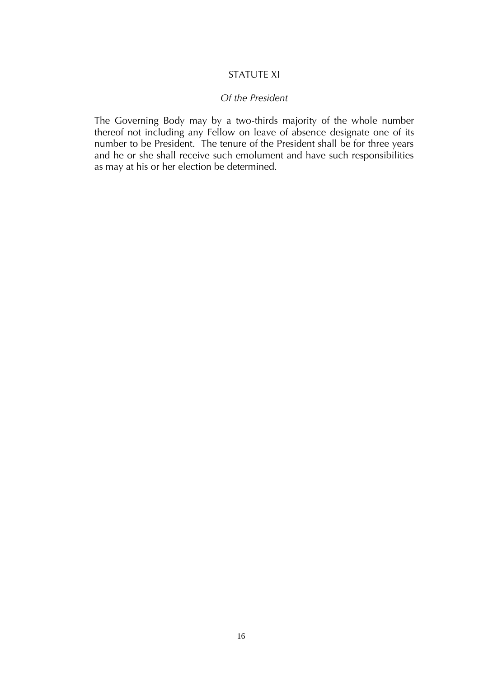## STATUTE XI

#### *Of the President*

The Governing Body may by a two-thirds majority of the whole number thereof not including any Fellow on leave of absence designate one of its number to be President. The tenure of the President shall be for three years and he or she shall receive such emolument and have such responsibilities as may at his or her election be determined.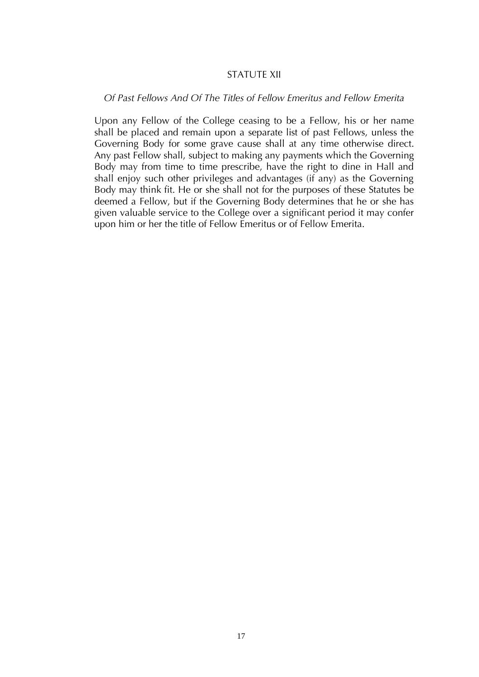#### STATUTE XII

#### *Of Past Fellows And Of The Titles of Fellow Emeritus and Fellow Emerita*

Upon any Fellow of the College ceasing to be a Fellow, his or her name shall be placed and remain upon a separate list of past Fellows, unless the Governing Body for some grave cause shall at any time otherwise direct. Any past Fellow shall, subject to making any payments which the Governing Body may from time to time prescribe, have the right to dine in Hall and shall enjoy such other privileges and advantages (if any) as the Governing Body may think fit. He or she shall not for the purposes of these Statutes be deemed a Fellow, but if the Governing Body determines that he or she has given valuable service to the College over a significant period it may confer upon him or her the title of Fellow Emeritus or of Fellow Emerita.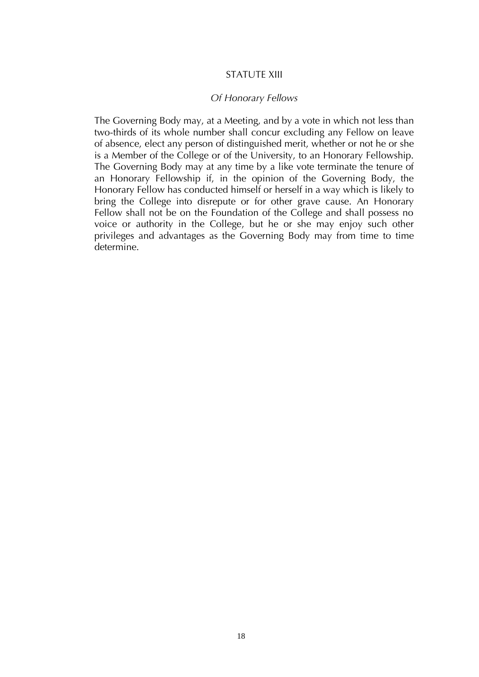#### STATUTE XIII

#### *Of Honorary Fellows*

The Governing Body may, at a Meeting, and by a vote in which not less than two-thirds of its whole number shall concur excluding any Fellow on leave of absence, elect any person of distinguished merit, whether or not he or she is a Member of the College or of the University, to an Honorary Fellowship. The Governing Body may at any time by a like vote terminate the tenure of an Honorary Fellowship if, in the opinion of the Governing Body, the Honorary Fellow has conducted himself or herself in a way which is likely to bring the College into disrepute or for other grave cause. An Honorary Fellow shall not be on the Foundation of the College and shall possess no voice or authority in the College, but he or she may enjoy such other privileges and advantages as the Governing Body may from time to time determine.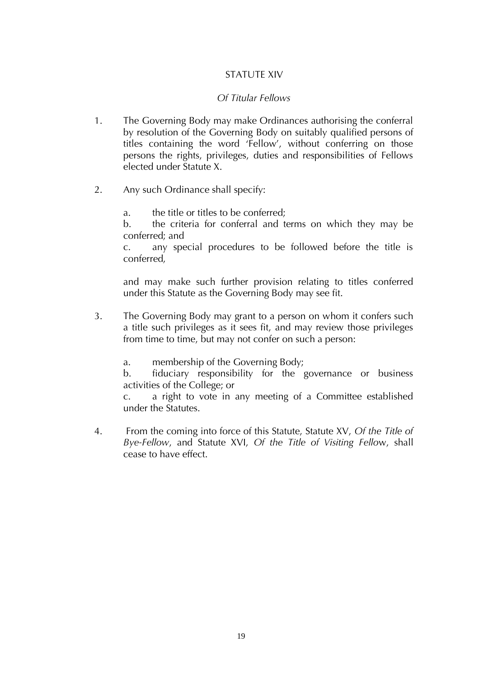# STATUTE XIV

## *Of Titular Fellows*

- 1. The Governing Body may make Ordinances authorising the conferral by resolution of the Governing Body on suitably qualified persons of titles containing the word 'Fellow', without conferring on those persons the rights, privileges, duties and responsibilities of Fellows elected under Statute X.
- 2. Any such Ordinance shall specify:
	- a. the title or titles to be conferred;

b. the criteria for conferral and terms on which they may be conferred; and

c. any special procedures to be followed before the title is conferred,

and may make such further provision relating to titles conferred under this Statute as the Governing Body may see fit.

3. The Governing Body may grant to a person on whom it confers such a title such privileges as it sees fit, and may review those privileges from time to time, but may not confer on such a person:

a. membership of the Governing Body;

b. fiduciary responsibility for the governance or business activities of the College; or

c. a right to vote in any meeting of a Committee established under the Statutes.

4. From the coming into force of this Statute, Statute XV, *Of the Title of Bye-Fellow*, and Statute XVI, *Of the Title of Visiting Fello*w, shall cease to have effect.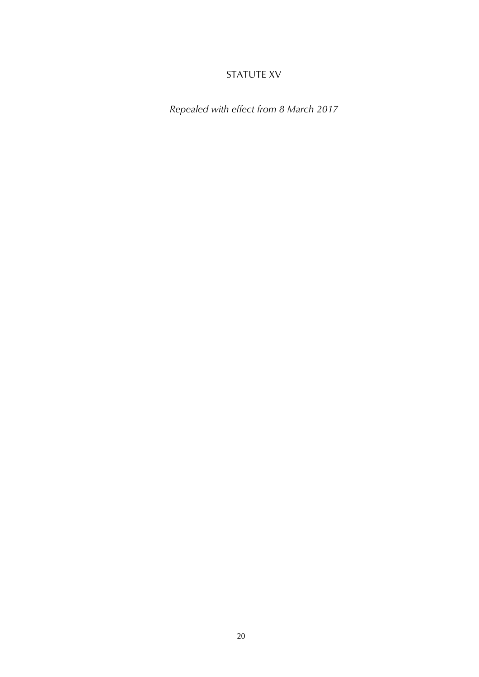# STATUTE XV

*Repealed with effect from 8 March 2017*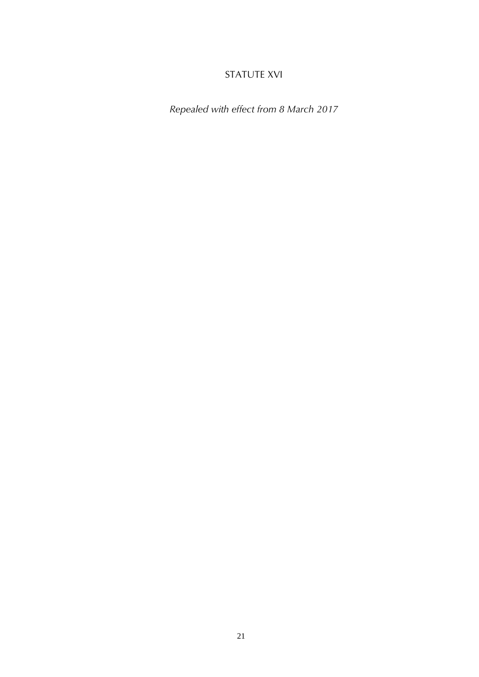# STATUTE XVI

*Repealed with effect from 8 March 2017*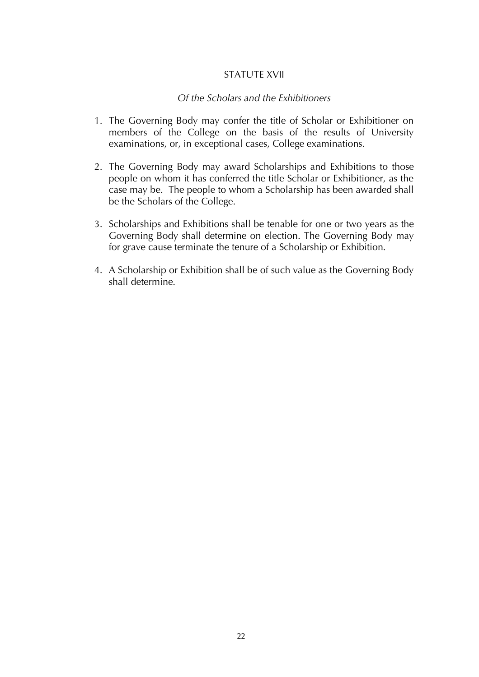#### STATUTE XVII

#### *Of the Scholars and the Exhibitioners*

- 1. The Governing Body may confer the title of Scholar or Exhibitioner on members of the College on the basis of the results of University examinations, or, in exceptional cases, College examinations.
- 2. The Governing Body may award Scholarships and Exhibitions to those people on whom it has conferred the title Scholar or Exhibitioner, as the case may be. The people to whom a Scholarship has been awarded shall be the Scholars of the College.
- 3. Scholarships and Exhibitions shall be tenable for one or two years as the Governing Body shall determine on election. The Governing Body may for grave cause terminate the tenure of a Scholarship or Exhibition.
- 4. A Scholarship or Exhibition shall be of such value as the Governing Body shall determine.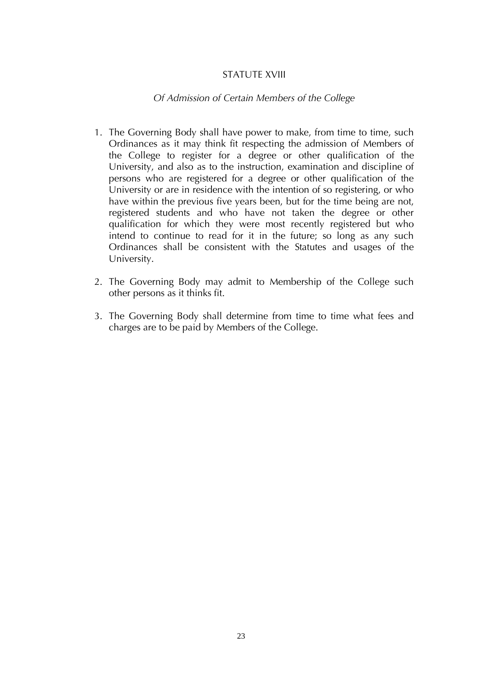## STATUTE XVIII

## *Of Admission of Certain Members of the College*

- 1. The Governing Body shall have power to make, from time to time, such Ordinances as it may think fit respecting the admission of Members of the College to register for a degree or other qualification of the University, and also as to the instruction, examination and discipline of persons who are registered for a degree or other qualification of the University or are in residence with the intention of so registering, or who have within the previous five years been, but for the time being are not, registered students and who have not taken the degree or other qualification for which they were most recently registered but who intend to continue to read for it in the future; so long as any such Ordinances shall be consistent with the Statutes and usages of the University.
- 2. The Governing Body may admit to Membership of the College such other persons as it thinks fit.
- 3. The Governing Body shall determine from time to time what fees and charges are to be paid by Members of the College.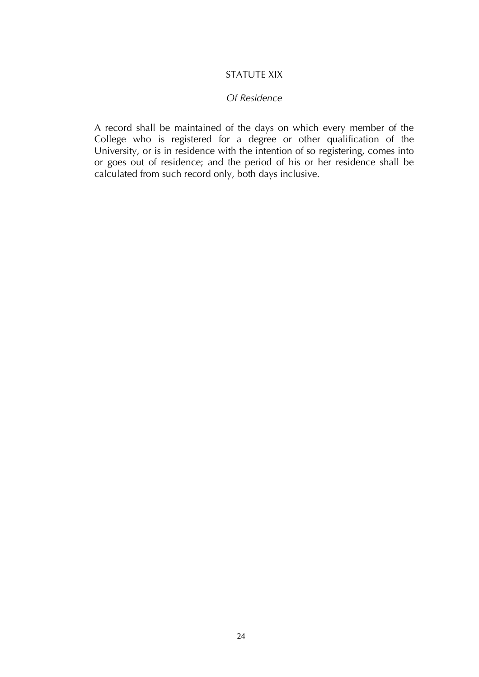## STATUTE XIX

#### *Of Residence*

A record shall be maintained of the days on which every member of the College who is registered for a degree or other qualification of the University, or is in residence with the intention of so registering, comes into or goes out of residence; and the period of his or her residence shall be calculated from such record only, both days inclusive.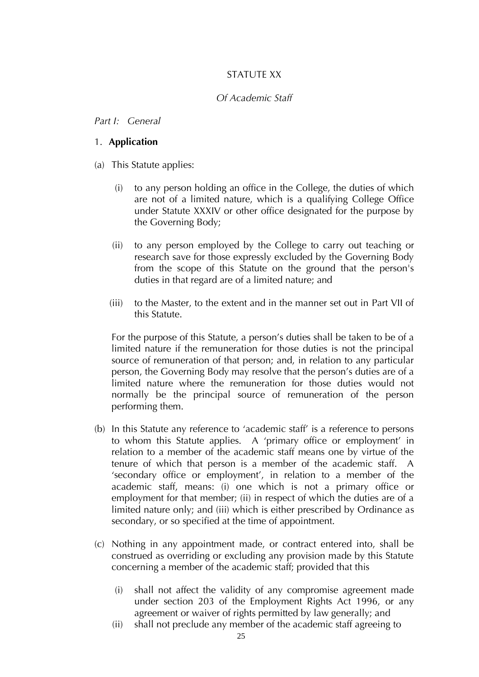# STATUTF XX

## *Of Academic Staff*

#### *Part I: General*

#### 1. **Application**

(a) This Statute applies:

- (i) to any person holding an office in the College, the duties of which are not of a limited nature, which is a qualifying College Office under Statute XXXIV or other office designated for the purpose by the Governing Body;
- (ii) to any person employed by the College to carry out teaching or research save for those expressly excluded by the Governing Body from the scope of this Statute on the ground that the person's duties in that regard are of a limited nature; and
- (iii) to the Master, to the extent and in the manner set out in Part VII of this Statute.

For the purpose of this Statute, a person's duties shall be taken to be of a limited nature if the remuneration for those duties is not the principal source of remuneration of that person; and, in relation to any particular person, the Governing Body may resolve that the person's duties are of a limited nature where the remuneration for those duties would not normally be the principal source of remuneration of the person performing them.

- (b) In this Statute any reference to 'academic staff' is a reference to persons to whom this Statute applies. A 'primary office or employment' in relation to a member of the academic staff means one by virtue of the tenure of which that person is a member of the academic staff. A 'secondary office or employment', in relation to a member of the academic staff, means: (i) one which is not a primary office or employment for that member; (ii) in respect of which the duties are of a limited nature only; and (iii) which is either prescribed by Ordinance as secondary, or so specified at the time of appointment.
- (c) Nothing in any appointment made, or contract entered into, shall be construed as overriding or excluding any provision made by this Statute concerning a member of the academic staff; provided that this
	- (i) shall not affect the validity of any compromise agreement made under section 203 of the Employment Rights Act 1996, or any agreement or waiver of rights permitted by law generally; and
	- (ii) shall not preclude any member of the academic staff agreeing to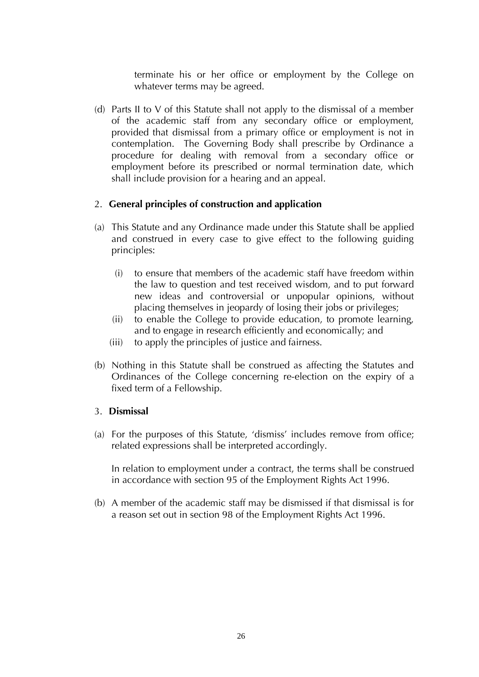terminate his or her office or employment by the College on whatever terms may be agreed.

(d) Parts II to V of this Statute shall not apply to the dismissal of a member of the academic staff from any secondary office or employment, provided that dismissal from a primary office or employment is not in contemplation. The Governing Body shall prescribe by Ordinance a procedure for dealing with removal from a secondary office or employment before its prescribed or normal termination date, which shall include provision for a hearing and an appeal.

## 2. **General principles of construction and application**

- (a) This Statute and any Ordinance made under this Statute shall be applied and construed in every case to give effect to the following guiding principles:
	- (i) to ensure that members of the academic staff have freedom within the law to question and test received wisdom, and to put forward new ideas and controversial or unpopular opinions, without placing themselves in jeopardy of losing their jobs or privileges;
	- (ii) to enable the College to provide education, to promote learning, and to engage in research efficiently and economically; and
	- (iii) to apply the principles of justice and fairness.
- (b) Nothing in this Statute shall be construed as affecting the Statutes and Ordinances of the College concerning re-election on the expiry of a fixed term of a Fellowship.

## 3. **Dismissal**

(a) For the purposes of this Statute, 'dismiss' includes remove from office; related expressions shall be interpreted accordingly.

In relation to employment under a contract, the terms shall be construed in accordance with section 95 of the Employment Rights Act 1996.

(b) A member of the academic staff may be dismissed if that dismissal is for a reason set out in section 98 of the Employment Rights Act 1996.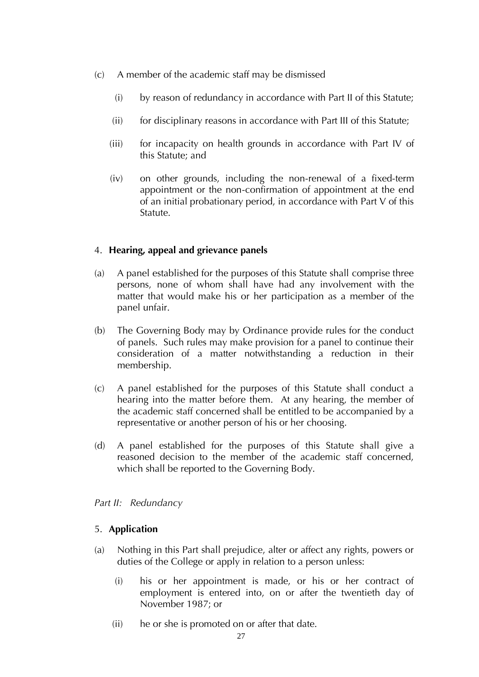- (c) A member of the academic staff may be dismissed
	- (i) by reason of redundancy in accordance with Part II of this Statute;
	- (ii) for disciplinary reasons in accordance with Part III of this Statute;
	- (iii) for incapacity on health grounds in accordance with Part IV of this Statute; and
	- (iv) on other grounds, including the non-renewal of a fixed-term appointment or the non-confirmation of appointment at the end of an initial probationary period, in accordance with Part V of this Statute.

# 4. **Hearing, appeal and grievance panels**

- (a) A panel established for the purposes of this Statute shall comprise three persons, none of whom shall have had any involvement with the matter that would make his or her participation as a member of the panel unfair.
- (b) The Governing Body may by Ordinance provide rules for the conduct of panels. Such rules may make provision for a panel to continue their consideration of a matter notwithstanding a reduction in their membership.
- (c) A panel established for the purposes of this Statute shall conduct a hearing into the matter before them. At any hearing, the member of the academic staff concerned shall be entitled to be accompanied by a representative or another person of his or her choosing.
- (d) A panel established for the purposes of this Statute shall give a reasoned decision to the member of the academic staff concerned, which shall be reported to the Governing Body.

# *Part II: Redundancy*

# 5. **Application**

- (a) Nothing in this Part shall prejudice, alter or affect any rights, powers or duties of the College or apply in relation to a person unless:
	- (i) his or her appointment is made, or his or her contract of employment is entered into, on or after the twentieth day of November 1987; or
	- (ii) he or she is promoted on or after that date.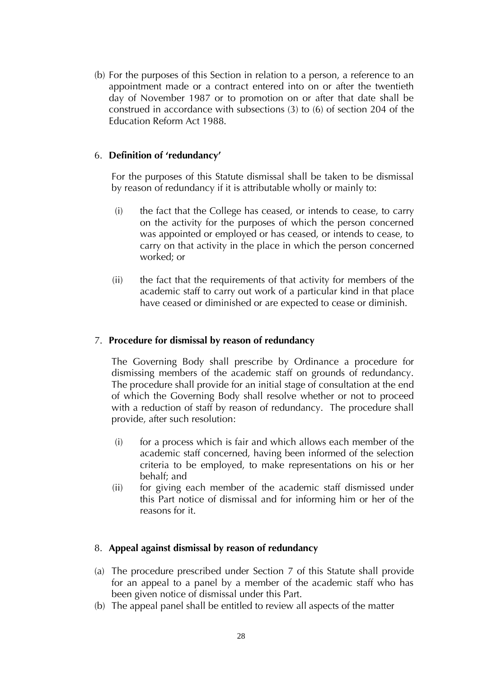(b) For the purposes of this Section in relation to a person, a reference to an appointment made or a contract entered into on or after the twentieth day of November 1987 or to promotion on or after that date shall be construed in accordance with subsections (3) to (6) of section 204 of the Education Reform Act 1988.

## 6. **Definition of 'redundancy'**

For the purposes of this Statute dismissal shall be taken to be dismissal by reason of redundancy if it is attributable wholly or mainly to:

- (i) the fact that the College has ceased, or intends to cease, to carry on the activity for the purposes of which the person concerned was appointed or employed or has ceased, or intends to cease, to carry on that activity in the place in which the person concerned worked; or
- (ii) the fact that the requirements of that activity for members of the academic staff to carry out work of a particular kind in that place have ceased or diminished or are expected to cease or diminish.

# 7. **Procedure for dismissal by reason of redundancy**

The Governing Body shall prescribe by Ordinance a procedure for dismissing members of the academic staff on grounds of redundancy. The procedure shall provide for an initial stage of consultation at the end of which the Governing Body shall resolve whether or not to proceed with a reduction of staff by reason of redundancy. The procedure shall provide, after such resolution:

- $(i)$  for a process which is fair and which allows each member of the academic staff concerned, having been informed of the selection criteria to be employed, to make representations on his or her behalf; and
- (ii) for giving each member of the academic staff dismissed under this Part notice of dismissal and for informing him or her of the reasons for it.

## 8. **Appeal against dismissal by reason of redundancy**

- (a) The procedure prescribed under Section 7 of this Statute shall provide for an appeal to a panel by a member of the academic staff who has been given notice of dismissal under this Part.
- (b) The appeal panel shall be entitled to review all aspects of the matter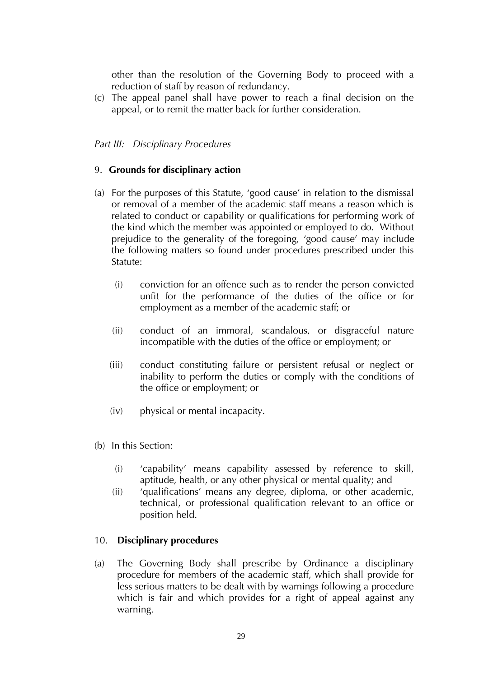other than the resolution of the Governing Body to proceed with a reduction of staff by reason of redundancy.

(c) The appeal panel shall have power to reach a final decision on the appeal, or to remit the matter back for further consideration.

## *Part III: Disciplinary Procedures*

## 9. **Grounds for disciplinary action**

- (a) For the purposes of this Statute, 'good cause' in relation to the dismissal or removal of a member of the academic staff means a reason which is related to conduct or capability or qualifications for performing work of the kind which the member was appointed or employed to do. Without prejudice to the generality of the foregoing, 'good cause' may include the following matters so found under procedures prescribed under this Statute:
	- (i) conviction for an offence such as to render the person convicted unfit for the performance of the duties of the office or for employment as a member of the academic staff; or
	- (ii) conduct of an immoral, scandalous, or disgraceful nature incompatible with the duties of the office or employment; or
	- (iii) conduct constituting failure or persistent refusal or neglect or inability to perform the duties or comply with the conditions of the office or employment; or
	- (iv) physical or mental incapacity.
- (b) In this Section:
	- (i) 'capability' means capability assessed by reference to skill, aptitude, health, or any other physical or mental quality; and
	- (ii) 'qualifications' means any degree, diploma, or other academic, technical, or professional qualification relevant to an office or position held.

## 10. **Disciplinary procedures**

(a) The Governing Body shall prescribe by Ordinance a disciplinary procedure for members of the academic staff, which shall provide for less serious matters to be dealt with by warnings following a procedure which is fair and which provides for a right of appeal against any warning.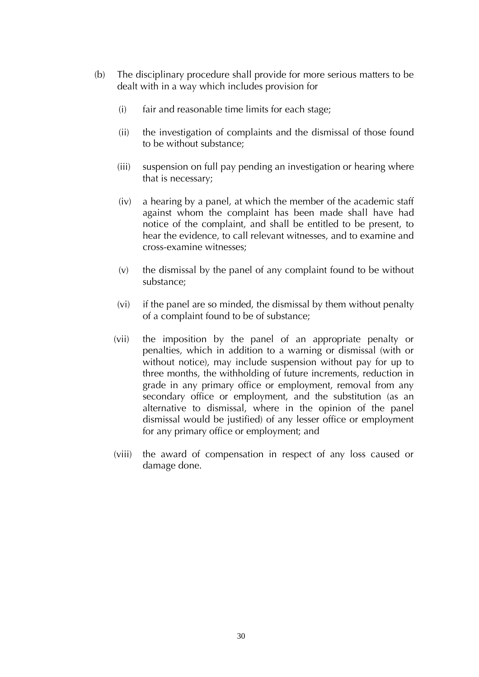- (b) The disciplinary procedure shall provide for more serious matters to be dealt with in a way which includes provision for
	- (i) fair and reasonable time limits for each stage;
	- (ii) the investigation of complaints and the dismissal of those found to be without substance;
	- (iii) suspension on full pay pending an investigation or hearing where that is necessary;
	- (iv) a hearing by a panel, at which the member of the academic staff against whom the complaint has been made shall have had notice of the complaint, and shall be entitled to be present, to hear the evidence, to call relevant witnesses, and to examine and cross-examine witnesses;
	- (v) the dismissal by the panel of any complaint found to be without substance;
	- (vi) if the panel are so minded, the dismissal by them without penalty of a complaint found to be of substance;
	- (vii) the imposition by the panel of an appropriate penalty or penalties, which in addition to a warning or dismissal (with or without notice), may include suspension without pay for up to three months, the withholding of future increments, reduction in grade in any primary office or employment, removal from any secondary office or employment, and the substitution (as an alternative to dismissal, where in the opinion of the panel dismissal would be justified) of any lesser office or employment for any primary office or employment; and
	- (viii) the award of compensation in respect of any loss caused or damage done.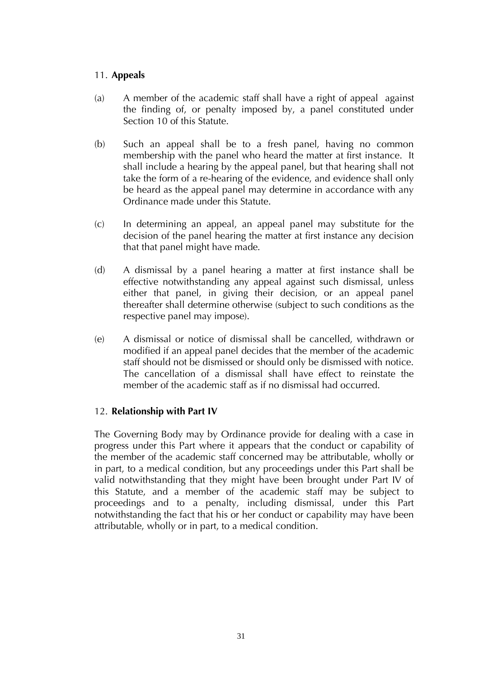# 11. **Appeals**

- (a) A member of the academic staff shall have a right of appeal against the finding of, or penalty imposed by, a panel constituted under Section 10 of this Statute.
- (b) Such an appeal shall be to a fresh panel, having no common membership with the panel who heard the matter at first instance. It shall include a hearing by the appeal panel, but that hearing shall not take the form of a re-hearing of the evidence, and evidence shall only be heard as the appeal panel may determine in accordance with any Ordinance made under this Statute.
- (c) In determining an appeal, an appeal panel may substitute for the decision of the panel hearing the matter at first instance any decision that that panel might have made.
- (d) A dismissal by a panel hearing a matter at first instance shall be effective notwithstanding any appeal against such dismissal, unless either that panel, in giving their decision, or an appeal panel thereafter shall determine otherwise (subject to such conditions as the respective panel may impose).
- (e) A dismissal or notice of dismissal shall be cancelled, withdrawn or modified if an appeal panel decides that the member of the academic staff should not be dismissed or should only be dismissed with notice. The cancellation of a dismissal shall have effect to reinstate the member of the academic staff as if no dismissal had occurred.

# 12. **Relationship with Part IV**

The Governing Body may by Ordinance provide for dealing with a case in progress under this Part where it appears that the conduct or capability of the member of the academic staff concerned may be attributable, wholly or in part, to a medical condition, but any proceedings under this Part shall be valid notwithstanding that they might have been brought under Part IV of this Statute, and a member of the academic staff may be subject to proceedings and to a penalty, including dismissal, under this Part notwithstanding the fact that his or her conduct or capability may have been attributable, wholly or in part, to a medical condition.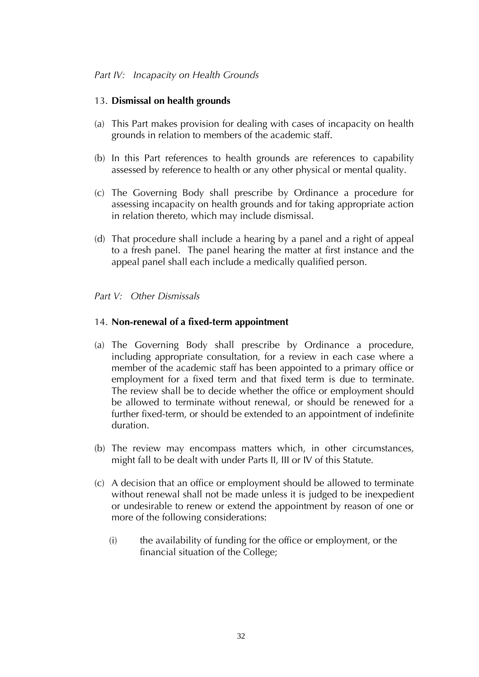# *Part IV: Incapacity on Health Grounds*

# 13. **Dismissal on health grounds**

- (a) This Part makes provision for dealing with cases of incapacity on health grounds in relation to members of the academic staff.
- (b) In this Part references to health grounds are references to capability assessed by reference to health or any other physical or mental quality.
- (c) The Governing Body shall prescribe by Ordinance a procedure for assessing incapacity on health grounds and for taking appropriate action in relation thereto, which may include dismissal.
- (d) That procedure shall include a hearing by a panel and a right of appeal to a fresh panel. The panel hearing the matter at first instance and the appeal panel shall each include a medically qualified person.

# *Part V: Other Dismissals*

# 14. **Non-renewal of a fixed-term appointment**

- (a) The Governing Body shall prescribe by Ordinance a procedure, including appropriate consultation, for a review in each case where a member of the academic staff has been appointed to a primary office or employment for a fixed term and that fixed term is due to terminate. The review shall be to decide whether the office or employment should be allowed to terminate without renewal, or should be renewed for a further fixed-term, or should be extended to an appointment of indefinite duration.
- (b) The review may encompass matters which, in other circumstances, might fall to be dealt with under Parts II, III or IV of this Statute.
- (c) A decision that an office or employment should be allowed to terminate without renewal shall not be made unless it is judged to be inexpedient or undesirable to renew or extend the appointment by reason of one or more of the following considerations:
	- (i) the availability of funding for the office or employment, or the financial situation of the College;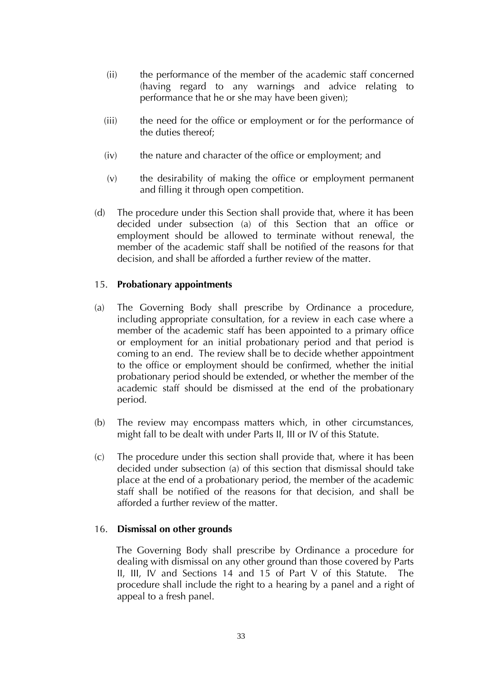- (ii) the performance of the member of the academic staff concerned (having regard to any warnings and advice relating to performance that he or she may have been given);
- (iii) the need for the office or employment or for the performance of the duties thereof;
- (iv) the nature and character of the office or employment; and
- (v) the desirability of making the office or employment permanent and filling it through open competition.
- (d) The procedure under this Section shall provide that, where it has been decided under subsection (a) of this Section that an office or employment should be allowed to terminate without renewal, the member of the academic staff shall be notified of the reasons for that decision, and shall be afforded a further review of the matter.

# 15. **Probationary appointments**

- (a) The Governing Body shall prescribe by Ordinance a procedure, including appropriate consultation, for a review in each case where a member of the academic staff has been appointed to a primary office or employment for an initial probationary period and that period is coming to an end. The review shall be to decide whether appointment to the office or employment should be confirmed, whether the initial probationary period should be extended, or whether the member of the academic staff should be dismissed at the end of the probationary period.
- (b) The review may encompass matters which, in other circumstances, might fall to be dealt with under Parts II, III or IV of this Statute.
- (c) The procedure under this section shall provide that, where it has been decided under subsection (a) of this section that dismissal should take place at the end of a probationary period, the member of the academic staff shall be notified of the reasons for that decision, and shall be afforded a further review of the matter.

# 16. **Dismissal on other grounds**

The Governing Body shall prescribe by Ordinance a procedure for dealing with dismissal on any other ground than those covered by Parts II, III, IV and Sections 14 and 15 of Part V of this Statute. The procedure shall include the right to a hearing by a panel and a right of appeal to a fresh panel.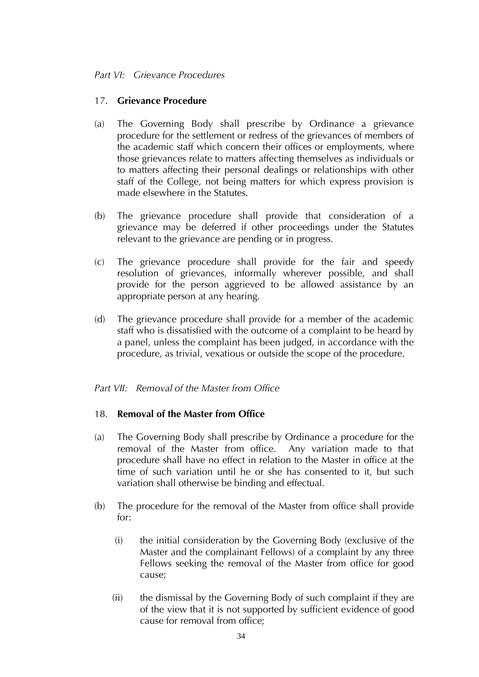# *Part VI: Grievance Procedures*

# 17. **Grievance Procedure**

- (a) The Governing Body shall prescribe by Ordinance a grievance procedure for the settlement or redress of the grievances of members of the academic staff which concern their offices or employments, where those grievances relate to matters affecting themselves as individuals or to matters affecting their personal dealings or relationships with other staff of the College, not being matters for which express provision is made elsewhere in the Statutes.
- (b) The grievance procedure shall provide that consideration of a grievance may be deferred if other proceedings under the Statutes relevant to the grievance are pending or in progress.
- (c) The grievance procedure shall provide for the fair and speedy resolution of grievances, informally wherever possible, and shall provide for the person aggrieved to be allowed assistance by an appropriate person at any hearing.
- (d) The grievance procedure shall provide for a member of the academic staff who is dissatisfied with the outcome of a complaint to be heard by a panel, unless the complaint has been judged, in accordance with the procedure, as trivial, vexatious or outside the scope of the procedure.

# *Part VII: Removal of the Master from Office*

# 18. **Removal of the Master from Office**

- (a) The Governing Body shall prescribe by Ordinance a procedure for the removal of the Master from office. Any variation made to that procedure shall have no effect in relation to the Master in office at the time of such variation until he or she has consented to it, but such variation shall otherwise be binding and effectual.
- (b) The procedure for the removal of the Master from office shall provide for:
	- (i) the initial consideration by the Governing Body (exclusive of the Master and the complainant Fellows) of a complaint by any three Fellows seeking the removal of the Master from office for good cause;
	- (ii) the dismissal by the Governing Body of such complaint if they are of the view that it is not supported by sufficient evidence of good cause for removal from office;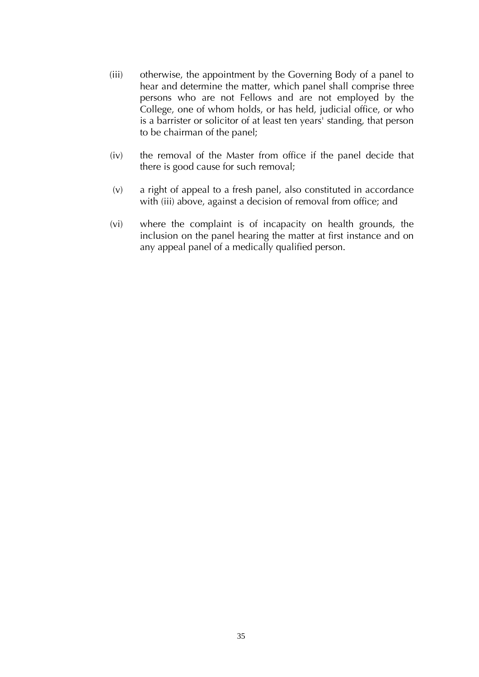- (iii) otherwise, the appointment by the Governing Body of a panel to hear and determine the matter, which panel shall comprise three persons who are not Fellows and are not employed by the College, one of whom holds, or has held, judicial office, or who is a barrister or solicitor of at least ten years' standing, that person to be chairman of the panel;
- (iv) the removal of the Master from office if the panel decide that there is good cause for such removal;
- (v) a right of appeal to a fresh panel, also constituted in accordance with (iii) above, against a decision of removal from office; and
- (vi) where the complaint is of incapacity on health grounds, the inclusion on the panel hearing the matter at first instance and on any appeal panel of a medically qualified person.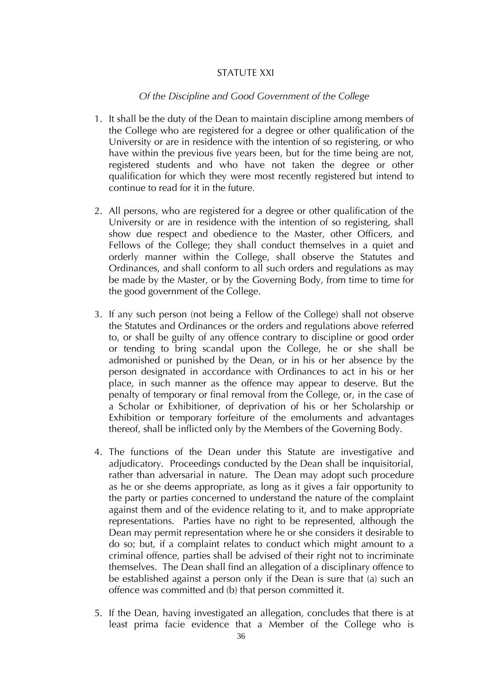# STATUTE XXI

#### *Of the Discipline and Good Government of the College*

- 1. It shall be the duty of the Dean to maintain discipline among members of the College who are registered for a degree or other qualification of the University or are in residence with the intention of so registering, or who have within the previous five years been, but for the time being are not, registered students and who have not taken the degree or other qualification for which they were most recently registered but intend to continue to read for it in the future*.*
- 2. All persons, who are registered for a degree or other qualification of the University or are in residence with the intention of so registering, shall show due respect and obedience to the Master, other Officers, and Fellows of the College; they shall conduct themselves in a quiet and orderly manner within the College, shall observe the Statutes and Ordinances, and shall conform to all such orders and regulations as may be made by the Master, or by the Governing Body, from time to time for the good government of the College.
- 3. If any such person (not being a Fellow of the College) shall not observe the Statutes and Ordinances or the orders and regulations above referred to, or shall be guilty of any offence contrary to discipline or good order or tending to bring scandal upon the College, he or she shall be admonished or punished by the Dean, or in his or her absence by the person designated in accordance with Ordinances to act in his or her place, in such manner as the offence may appear to deserve. But the penalty of temporary or final removal from the College, or, in the case of a Scholar or Exhibitioner, of deprivation of his or her Scholarship or Exhibition or temporary forfeiture of the emoluments and advantages thereof, shall be inflicted only by the Members of the Governing Body.
- 4. The functions of the Dean under this Statute are investigative and adjudicatory. Proceedings conducted by the Dean shall be inquisitorial, rather than adversarial in nature. The Dean may adopt such procedure as he or she deems appropriate, as long as it gives a fair opportunity to the party or parties concerned to understand the nature of the complaint against them and of the evidence relating to it, and to make appropriate representations. Parties have no right to be represented, although the Dean may permit representation where he or she considers it desirable to do so; but, if a complaint relates to conduct which might amount to a criminal offence, parties shall be advised of their right not to incriminate themselves. The Dean shall find an allegation of a disciplinary offence to be established against a person only if the Dean is sure that (a) such an offence was committed and (b) that person committed it.
- 5. If the Dean, having investigated an allegation, concludes that there is at least prima facie evidence that a Member of the College who is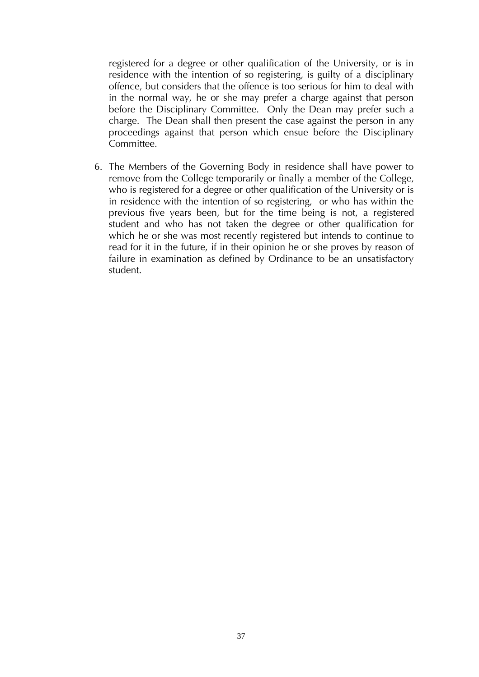registered for a degree or other qualification of the University, or is in residence with the intention of so registering, is guilty of a disciplinary offence, but considers that the offence is too serious for him to deal with in the normal way, he or she may prefer a charge against that person before the Disciplinary Committee. Only the Dean may prefer such a charge. The Dean shall then present the case against the person in any proceedings against that person which ensue before the Disciplinary Committee.

6. The Members of the Governing Body in residence shall have power to remove from the College temporarily or finally a member of the College, who is registered for a degree or other qualification of the University or is in residence with the intention of so registering, or who has within the previous five years been, but for the time being is not, a registered student and who has not taken the degree or other qualification for which he or she was most recently registered but intends to continue to read for it in the future, if in their opinion he or she proves by reason of failure in examination as defined by Ordinance to be an unsatisfactory student.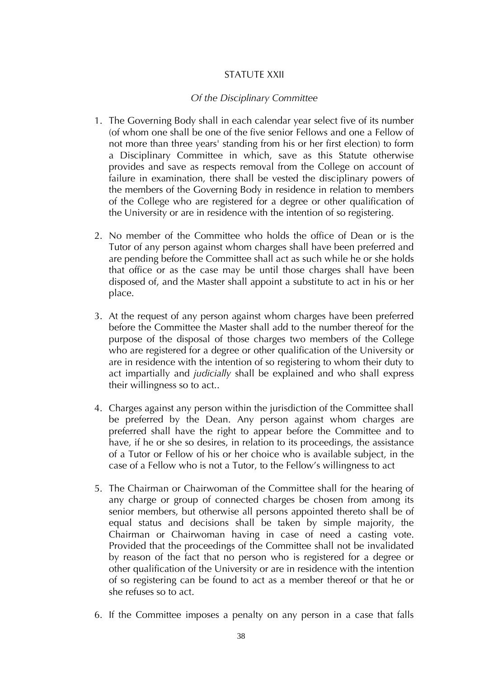# STATUTE XXII

# *Of the Disciplinary Committee*

- 1. The Governing Body shall in each calendar year select five of its number (of whom one shall be one of the five senior Fellows and one a Fellow of not more than three years' standing from his or her first election) to form a Disciplinary Committee in which, save as this Statute otherwise provides and save as respects removal from the College on account of failure in examination, there shall be vested the disciplinary powers of the members of the Governing Body in residence in relation to members of the College who are registered for a degree or other qualification of the University or are in residence with the intention of so registering.
- 2. No member of the Committee who holds the office of Dean or is the Tutor of any person against whom charges shall have been preferred and are pending before the Committee shall act as such while he or she holds that office or as the case may be until those charges shall have been disposed of, and the Master shall appoint a substitute to act in his or her place.
- 3. At the request of any person against whom charges have been preferred before the Committee the Master shall add to the number thereof for the purpose of the disposal of those charges two members of the College who are registered for a degree or other qualification of the University or are in residence with the intention of so registering to whom their duty to act impartially and *judicially* shall be explained and who shall express their willingness so to act..
- 4. Charges against any person within the jurisdiction of the Committee shall be preferred by the Dean. Any person against whom charges are preferred shall have the right to appear before the Committee and to have, if he or she so desires, in relation to its proceedings, the assistance of a Tutor or Fellow of his or her choice who is available subject, in the case of a Fellow who is not a Tutor, to the Fellow's willingness to act
- 5. The Chairman or Chairwoman of the Committee shall for the hearing of any charge or group of connected charges be chosen from among its senior members, but otherwise all persons appointed thereto shall be of equal status and decisions shall be taken by simple majority, the Chairman or Chairwoman having in case of need a casting vote. Provided that the proceedings of the Committee shall not be invalidated by reason of the fact that no person who is registered for a degree or other qualification of the University or are in residence with the intention of so registering can be found to act as a member thereof or that he or she refuses so to act.
- 6. If the Committee imposes a penalty on any person in a case that falls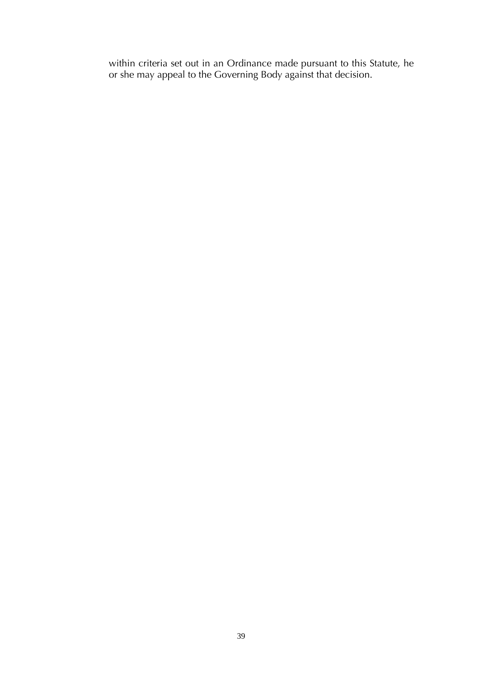within criteria set out in an Ordinance made pursuant to this Statute, he or she may appeal to the Governing Body against that decision.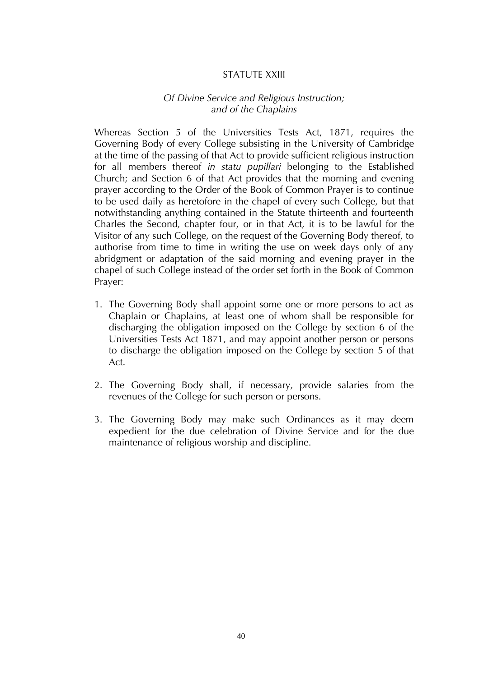# STATUTE XXIII

#### *Of Divine Service and Religious Instruction; and of the Chaplains*

Whereas Section 5 of the Universities Tests Act, 1871, requires the Governing Body of every College subsisting in the University of Cambridge at the time of the passing of that Act to provide sufficient religious instruction for all members thereof *in statu pupillari* belonging to the Established Church; and Section 6 of that Act provides that the morning and evening prayer according to the Order of the Book of Common Prayer is to continue to be used daily as heretofore in the chapel of every such College, but that notwithstanding anything contained in the Statute thirteenth and fourteenth Charles the Second, chapter four, or in that Act, it is to be lawful for the Visitor of any such College, on the request of the Governing Body thereof, to authorise from time to time in writing the use on week days only of any abridgment or adaptation of the said morning and evening prayer in the chapel of such College instead of the order set forth in the Book of Common Prayer:

- 1. The Governing Body shall appoint some one or more persons to act as Chaplain or Chaplains, at least one of whom shall be responsible for discharging the obligation imposed on the College by section 6 of the Universities Tests Act 1871, and may appoint another person or persons to discharge the obligation imposed on the College by section 5 of that Act.
- 2. The Governing Body shall, if necessary, provide salaries from the revenues of the College for such person or persons.
- 3. The Governing Body may make such Ordinances as it may deem expedient for the due celebration of Divine Service and for the due maintenance of religious worship and discipline.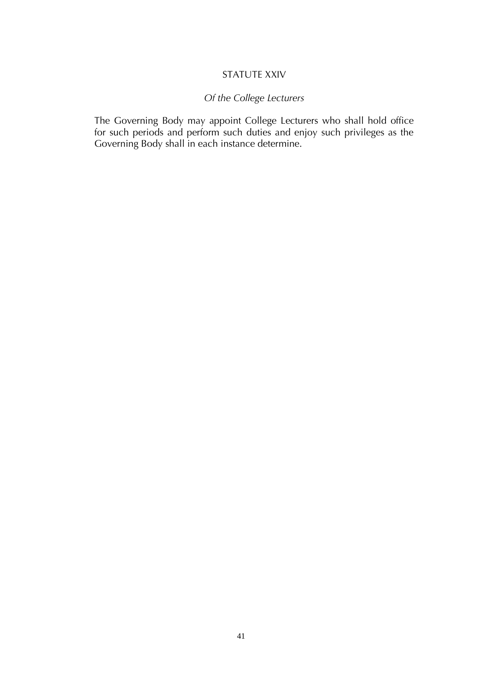# STATUTE XXIV

# *Of the College Lecturers*

The Governing Body may appoint College Lecturers who shall hold office for such periods and perform such duties and enjoy such privileges as the Governing Body shall in each instance determine.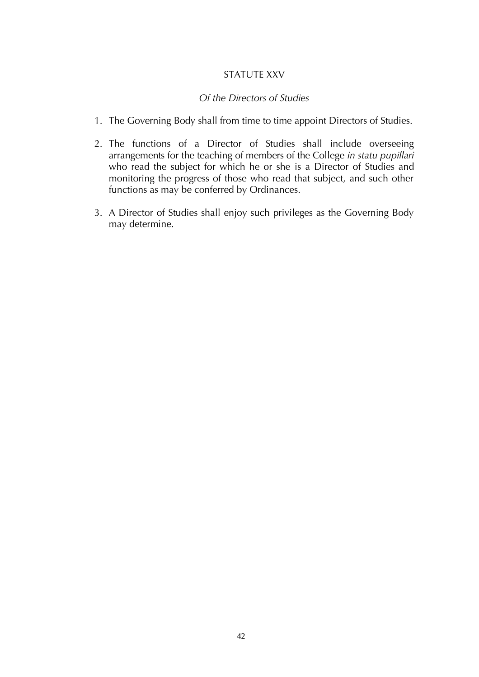# STATUTE XXV

#### *Of the Directors of Studies*

- 1. The Governing Body shall from time to time appoint Directors of Studies.
- 2. The functions of a Director of Studies shall include overseeing arrangements for the teaching of members of the College *in statu pupillari*  who read the subject for which he or she is a Director of Studies and monitoring the progress of those who read that subject, and such other functions as may be conferred by Ordinances.
- 3. A Director of Studies shall enjoy such privileges as the Governing Body may determine.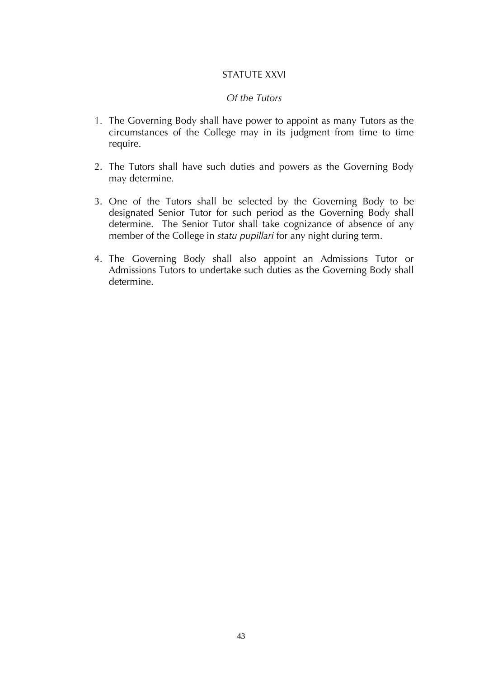# STATUTE XXVI

#### *Of the Tutors*

- 1. The Governing Body shall have power to appoint as many Tutors as the circumstances of the College may in its judgment from time to time require.
- 2. The Tutors shall have such duties and powers as the Governing Body may determine.
- 3. One of the Tutors shall be selected by the Governing Body to be designated Senior Tutor for such period as the Governing Body shall determine. The Senior Tutor shall take cognizance of absence of any member of the College in *statu pupillari* for any night during term.
- 4. The Governing Body shall also appoint an Admissions Tutor or Admissions Tutors to undertake such duties as the Governing Body shall determine.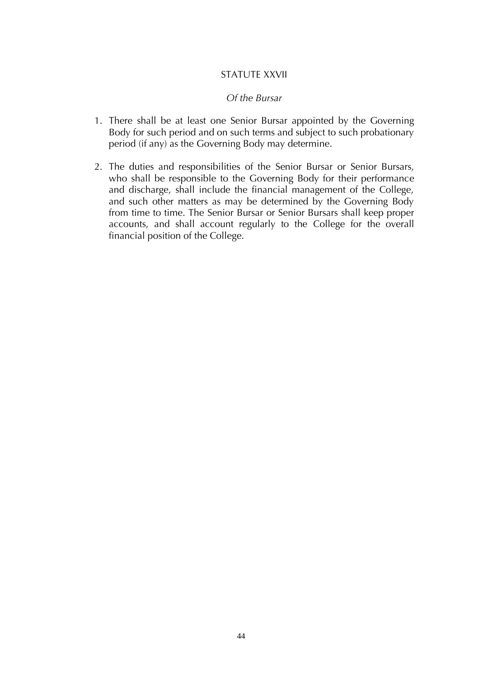#### STATUTE XXVII

#### *Of the Bursar*

- 1. There shall be at least one Senior Bursar appointed by the Governing Body for such period and on such terms and subject to such probationary period (if any) as the Governing Body may determine.
- 2. The duties and responsibilities of the Senior Bursar or Senior Bursars, who shall be responsible to the Governing Body for their performance and discharge, shall include the financial management of the College, and such other matters as may be determined by the Governing Body from time to time. The Senior Bursar or Senior Bursars shall keep proper accounts, and shall account regularly to the College for the overall financial position of the College.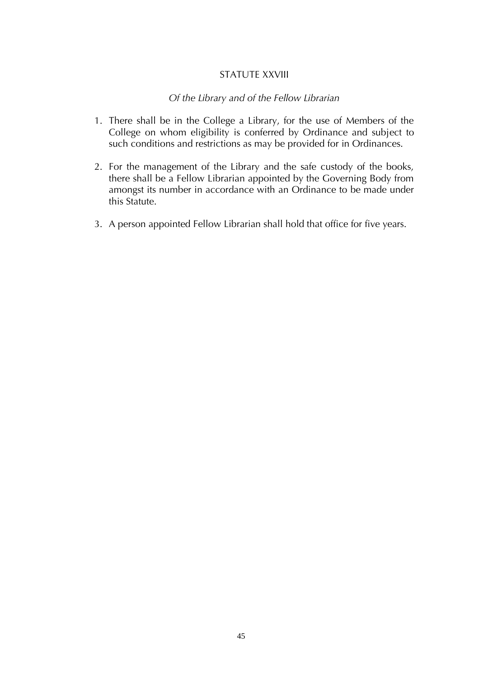#### STATUTE XXVIII

#### *Of the Library and of the Fellow Librarian*

- 1. There shall be in the College a Library, for the use of Members of the College on whom eligibility is conferred by Ordinance and subject to such conditions and restrictions as may be provided for in Ordinances.
- 2. For the management of the Library and the safe custody of the books, there shall be a Fellow Librarian appointed by the Governing Body from amongst its number in accordance with an Ordinance to be made under this Statute.
- 3. A person appointed Fellow Librarian shall hold that office for five years.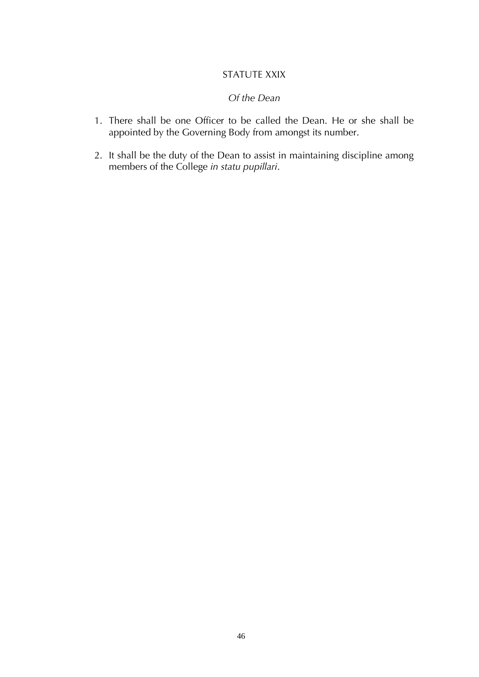# STATUTE XXIX

#### *Of the Dean*

- 1. There shall be one Officer to be called the Dean. He or she shall be appointed by the Governing Body from amongst its number.
- 2. It shall be the duty of the Dean to assist in maintaining discipline among members of the College *in statu pupillari*.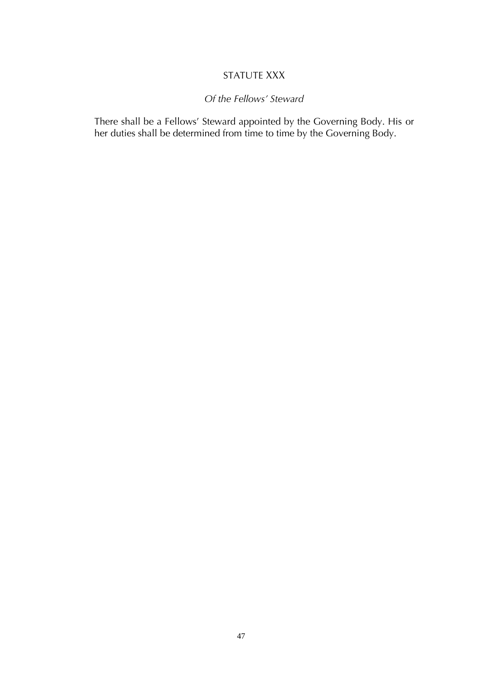# STATUTE XXX

# *Of the Fellows' Steward*

There shall be a Fellows' Steward appointed by the Governing Body. His or her duties shall be determined from time to time by the Governing Body.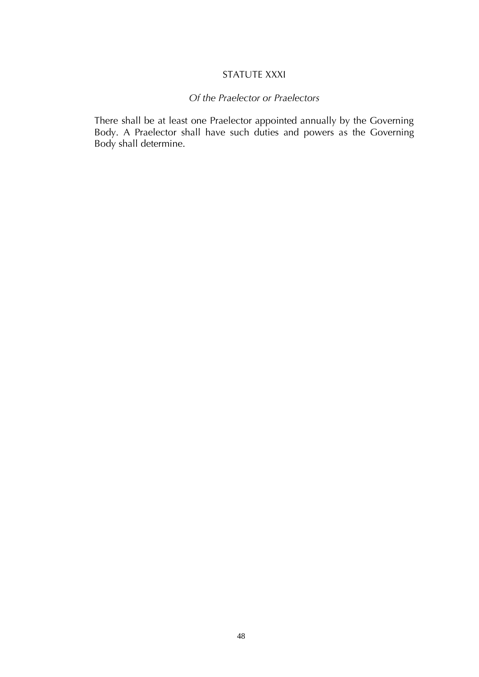# STATUTE XXXI

# *Of the Praelector or Praelectors*

There shall be at least one Praelector appointed annually by the Governing Body. A Praelector shall have such duties and powers as the Governing Body shall determine.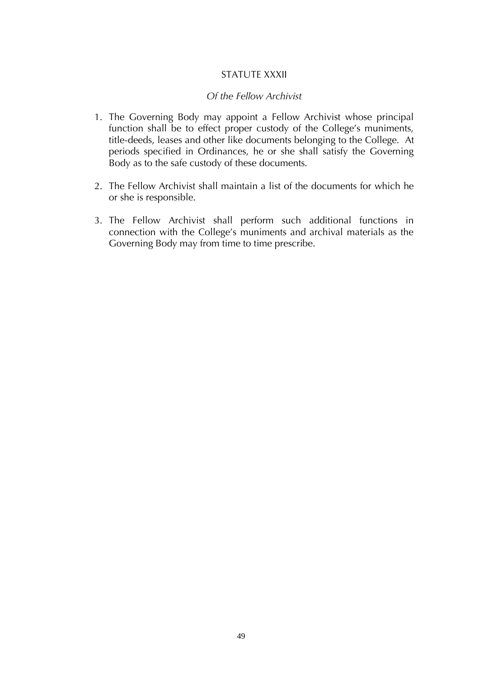# STATUTE XXXII

#### *Of the Fellow Archivist*

- 1. The Governing Body may appoint a Fellow Archivist whose principal function shall be to effect proper custody of the College's muniments, title-deeds, leases and other like documents belonging to the College. At periods specified in Ordinances, he or she shall satisfy the Governing Body as to the safe custody of these documents.
- 2. The Fellow Archivist shall maintain a list of the documents for which he or she is responsible.
- 3. The Fellow Archivist shall perform such additional functions in connection with the College's muniments and archival materials as the Governing Body may from time to time prescribe.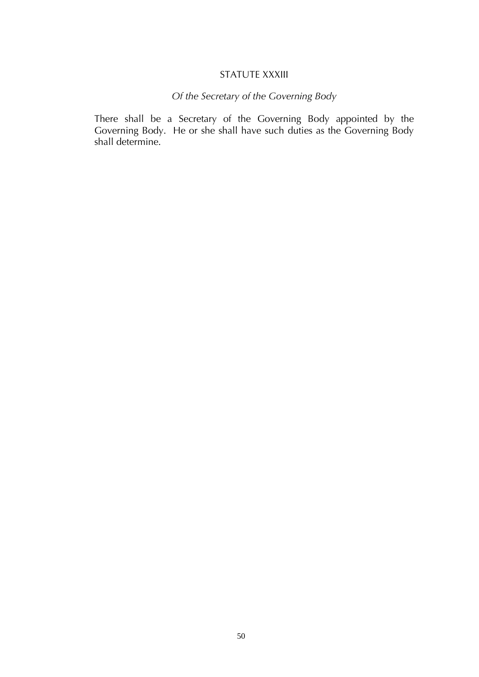#### STATUTE XXXIII

# *Of the Secretary of the Governing Body*

There shall be a Secretary of the Governing Body appointed by the Governing Body. He or she shall have such duties as the Governing Body shall determine.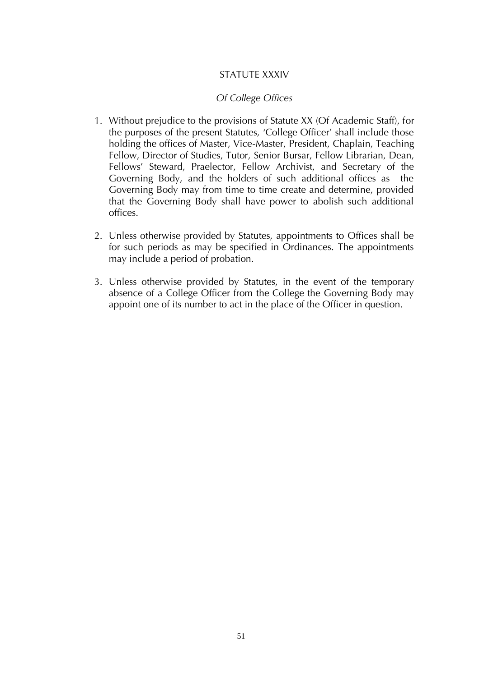# STATUTE XXXIV

# *Of College Offices*

- 1. Without prejudice to the provisions of Statute XX (Of Academic Staff), for the purposes of the present Statutes, 'College Officer' shall include those holding the offices of Master, Vice-Master, President, Chaplain, Teaching Fellow, Director of Studies, Tutor, Senior Bursar, Fellow Librarian, Dean, Fellows' Steward, Praelector, Fellow Archivist, and Secretary of the Governing Body, and the holders of such additional offices as the Governing Body may from time to time create and determine, provided that the Governing Body shall have power to abolish such additional offices.
- 2. Unless otherwise provided by Statutes, appointments to Offices shall be for such periods as may be specified in Ordinances. The appointments may include a period of probation.
- 3. Unless otherwise provided by Statutes, in the event of the temporary absence of a College Officer from the College the Governing Body may appoint one of its number to act in the place of the Officer in question.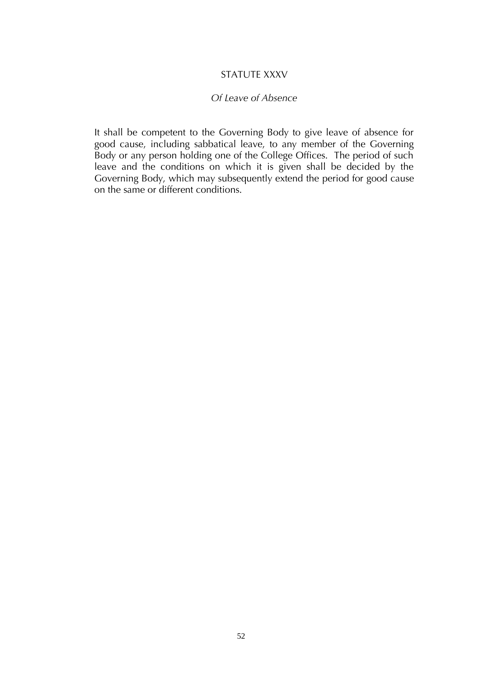#### STATUTE XXXV

#### *Of Leave of Absence*

It shall be competent to the Governing Body to give leave of absence for good cause, including sabbatical leave, to any member of the Governing Body or any person holding one of the College Offices. The period of such leave and the conditions on which it is given shall be decided by the Governing Body, which may subsequently extend the period for good cause on the same or different conditions.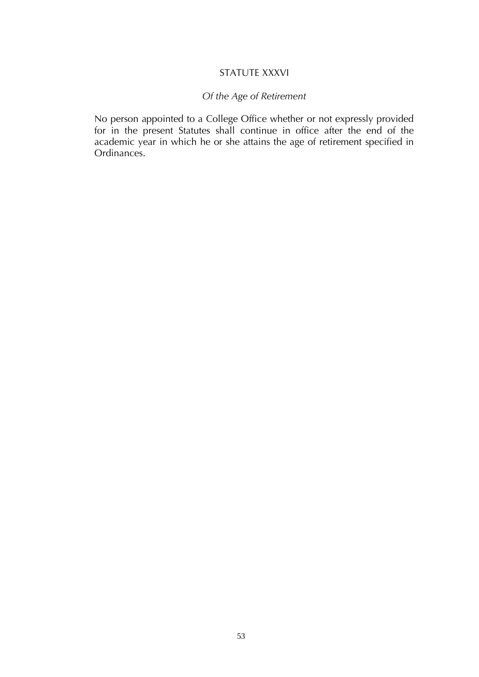# STATUTE XXXVI

# *Of the Age of Retirement*

No person appointed to a College Office whether or not expressly provided for in the present Statutes shall continue in office after the end of the academic year in which he or she attains the age of retirement specified in Ordinances.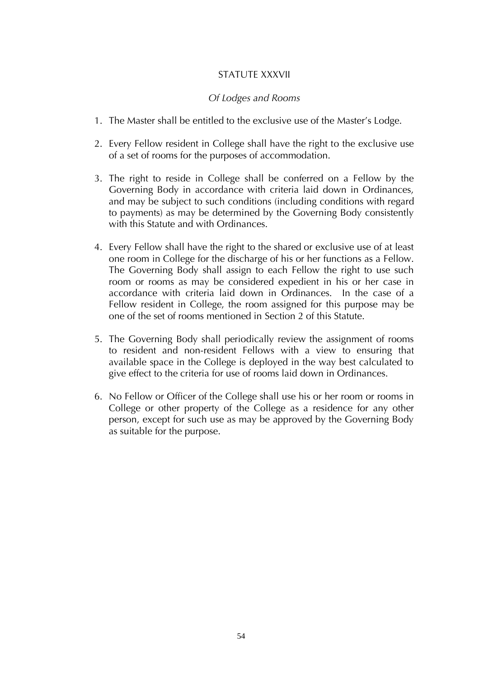# STATUTE XXXVII

#### *Of Lodges and Rooms*

- 1. The Master shall be entitled to the exclusive use of the Master's Lodge.
- 2. Every Fellow resident in College shall have the right to the exclusive use of a set of rooms for the purposes of accommodation.
- 3. The right to reside in College shall be conferred on a Fellow by the Governing Body in accordance with criteria laid down in Ordinances, and may be subject to such conditions (including conditions with regard to payments) as may be determined by the Governing Body consistently with this Statute and with Ordinances.
- 4. Every Fellow shall have the right to the shared or exclusive use of at least one room in College for the discharge of his or her functions as a Fellow. The Governing Body shall assign to each Fellow the right to use such room or rooms as may be considered expedient in his or her case in accordance with criteria laid down in Ordinances. In the case of a Fellow resident in College, the room assigned for this purpose may be one of the set of rooms mentioned in Section 2 of this Statute.
- 5. The Governing Body shall periodically review the assignment of rooms to resident and non-resident Fellows with a view to ensuring that available space in the College is deployed in the way best calculated to give effect to the criteria for use of rooms laid down in Ordinances.
- 6. No Fellow or Officer of the College shall use his or her room or rooms in College or other property of the College as a residence for any other person, except for such use as may be approved by the Governing Body as suitable for the purpose.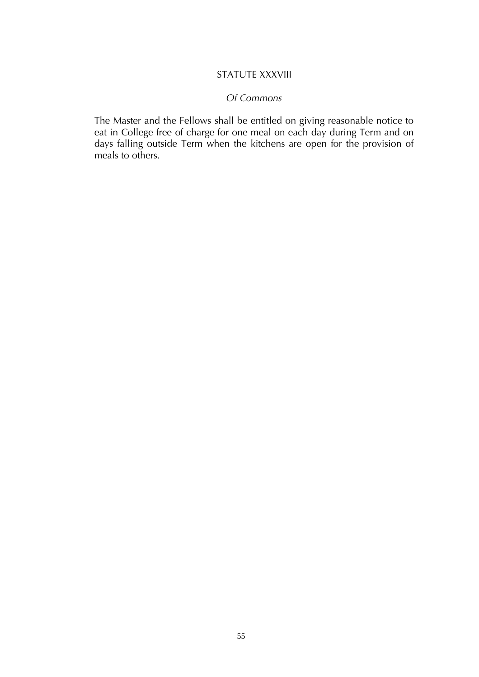# STATUTE XXXVIII

#### *Of Commons*

The Master and the Fellows shall be entitled on giving reasonable notice to eat in College free of charge for one meal on each day during Term and on days falling outside Term when the kitchens are open for the provision of meals to others.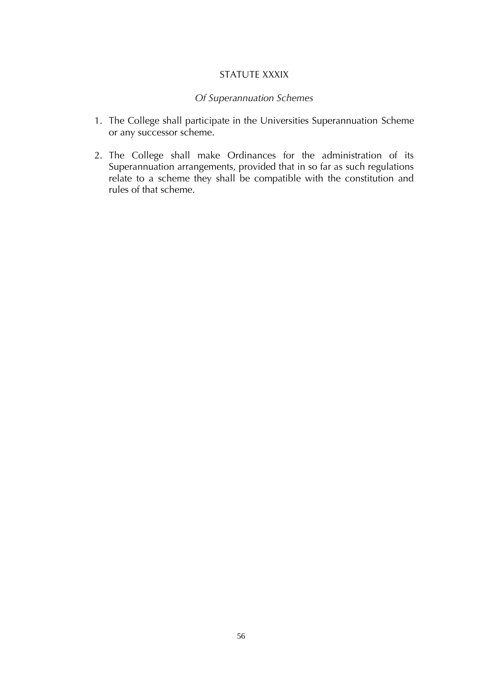#### STATUTE XXXIX

# *Of Superannuation Schemes*

- 1. The College shall participate in the Universities Superannuation Scheme or any successor scheme.
- 2. The College shall make Ordinances for the administration of its Superannuation arrangements, provided that in so far as such regulations relate to a scheme they shall be compatible with the constitution and rules of that scheme.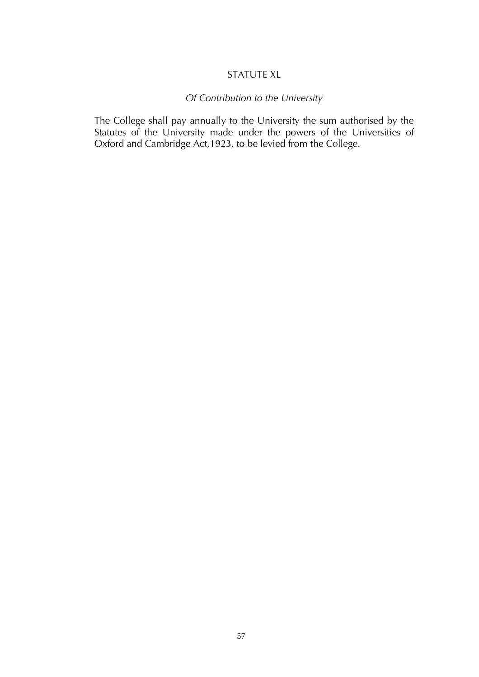# STATUTE XL

# *Of Contribution to the University*

The College shall pay annually to the University the sum authorised by the Statutes of the University made under the powers of the Universities of Oxford and Cambridge Act, 1923, to be levied from the College.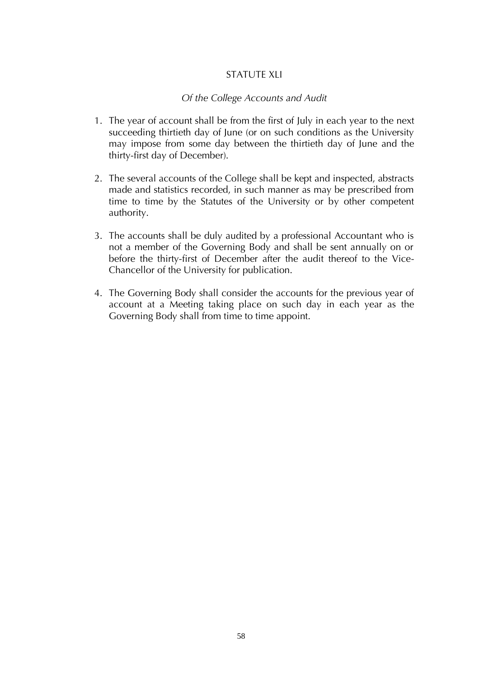# STATUTE XLI

# *Of the College Accounts and Audit*

- 1. The year of account shall be from the first of July in each year to the next succeeding thirtieth day of June (or on such conditions as the University may impose from some day between the thirtieth day of June and the thirty-first day of December).
- 2. The several accounts of the College shall be kept and inspected, abstracts made and statistics recorded, in such manner as may be prescribed from time to time by the Statutes of the University or by other competent authority.
- 3. The accounts shall be duly audited by a professional Accountant who is not a member of the Governing Body and shall be sent annually on or before the thirty-first of December after the audit thereof to the Vice-Chancellor of the University for publication.
- 4. The Governing Body shall consider the accounts for the previous year of account at a Meeting taking place on such day in each year as the Governing Body shall from time to time appoint.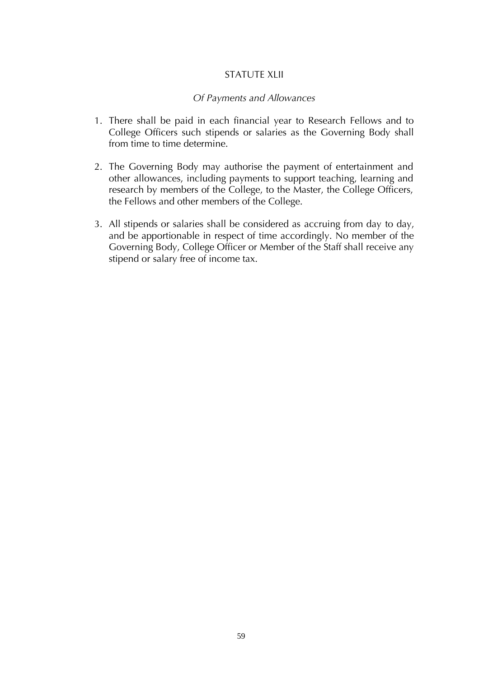#### STATUTE XLII

#### *Of Payments and Allowances*

- 1. There shall be paid in each financial year to Research Fellows and to College Officers such stipends or salaries as the Governing Body shall from time to time determine.
- 2. The Governing Body may authorise the payment of entertainment and other allowances, including payments to support teaching, learning and research by members of the College, to the Master, the College Officers, the Fellows and other members of the College.
- 3. All stipends or salaries shall be considered as accruing from day to day, and be apportionable in respect of time accordingly. No member of the Governing Body, College Officer or Member of the Staff shall receive any stipend or salary free of income tax.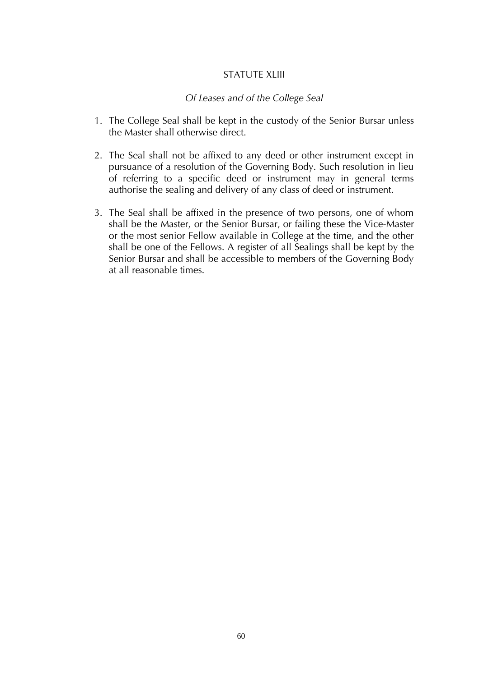#### STATUTF XLIII

#### *Of Leases and of the College Seal*

- 1. The College Seal shall be kept in the custody of the Senior Bursar unless the Master shall otherwise direct.
- 2. The Seal shall not be affixed to any deed or other instrument except in pursuance of a resolution of the Governing Body. Such resolution in lieu of referring to a specific deed or instrument may in general terms authorise the sealing and delivery of any class of deed or instrument.
- 3. The Seal shall be affixed in the presence of two persons, one of whom shall be the Master, or the Senior Bursar, or failing these the Vice-Master or the most senior Fellow available in College at the time, and the other shall be one of the Fellows. A register of all Sealings shall be kept by the Senior Bursar and shall be accessible to members of the Governing Body at all reasonable times.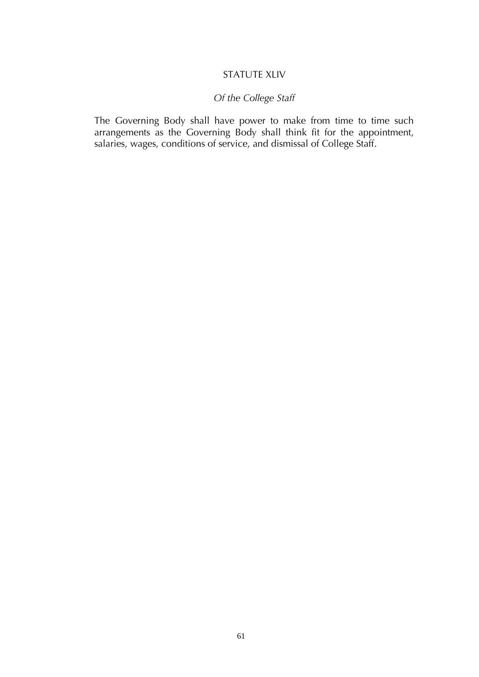# STATUTE XLIV

# *Of the College Staff*

The Governing Body shall have power to make from time to time such arrangements as the Governing Body shall think fit for the appointment, salaries, wages, conditions of service, and dismissal of College Staff.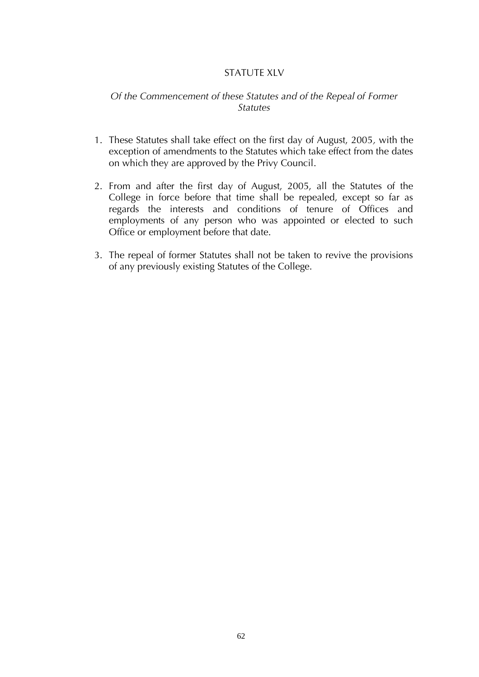# STATUTE XLV

# *Of the Commencement of these Statutes and of the Repeal of Former Statutes*

- 1. These Statutes shall take effect on the first day of August, 2005*,* with the exception of amendments to the Statutes which take effect from the dates on which they are approved by the Privy Council.
- 2. From and after the first day of August, 2005, all the Statutes of the College in force before that time shall be repealed, except so far as regards the interests and conditions of tenure of Offices and employments of any person who was appointed or elected to such Office or employment before that date.
- 3. The repeal of former Statutes shall not be taken to revive the provisions of any previously existing Statutes of the College.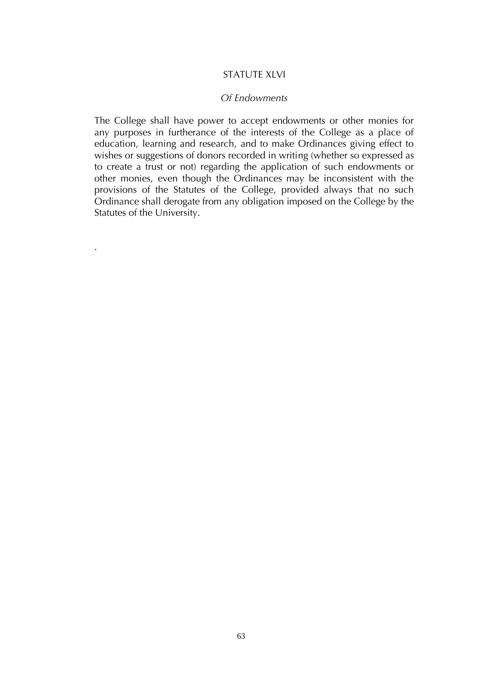#### STATUTF XI VI

#### *Of Endowments*

The College shall have power to accept endowments or other monies for any purposes in furtherance of the interests of the College as a place of education, learning and research, and to make Ordinances giving effect to wishes or suggestions of donors recorded in writing (whether so expressed as to create a trust or not) regarding the application of such endowments or other monies, even though the Ordinances may be inconsistent with the provisions of the Statutes of the College, provided always that no such Ordinance shall derogate from any obligation imposed on the College by the Statutes of the University.

.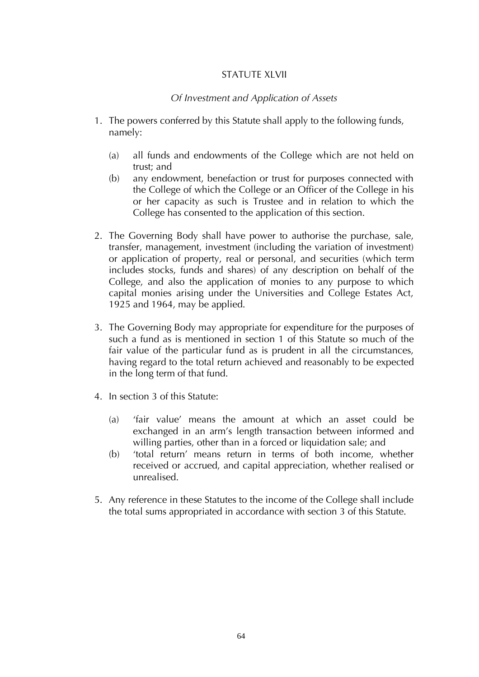# STATUTF XI VII

#### *Of Investment and Application of Assets*

- 1. The powers conferred by this Statute shall apply to the following funds, namely:
	- (a) all funds and endowments of the College which are not held on trust; and
	- (b) any endowment, benefaction or trust for purposes connected with the College of which the College or an Officer of the College in his or her capacity as such is Trustee and in relation to which the College has consented to the application of this section.
- 2. The Governing Body shall have power to authorise the purchase, sale, transfer, management, investment (including the variation of investment) or application of property, real or personal, and securities (which term includes stocks, funds and shares) of any description on behalf of the College, and also the application of monies to any purpose to which capital monies arising under the Universities and College Estates Act, 1925 and 1964, may be applied.
- 3. The Governing Body may appropriate for expenditure for the purposes of such a fund as is mentioned in section 1 of this Statute so much of the fair value of the particular fund as is prudent in all the circumstances, having regard to the total return achieved and reasonably to be expected in the long term of that fund.
- 4. In section 3 of this Statute:
	- (a) 'fair value' means the amount at which an asset could be exchanged in an arm's length transaction between informed and willing parties, other than in a forced or liquidation sale; and
	- (b) 'total return' means return in terms of both income, whether received or accrued, and capital appreciation, whether realised or unrealised.
- 5. Any reference in these Statutes to the income of the College shall include the total sums appropriated in accordance with section 3 of this Statute.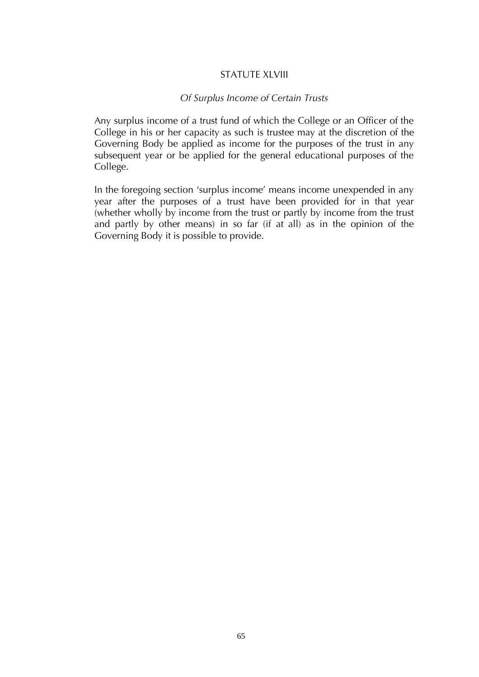#### STATUTE XLVIII

#### *Of Surplus Income of Certain Trusts*

Any surplus income of a trust fund of which the College or an Officer of the College in his or her capacity as such is trustee may at the discretion of the Governing Body be applied as income for the purposes of the trust in any subsequent year or be applied for the general educational purposes of the College.

In the foregoing section 'surplus income' means income unexpended in any year after the purposes of a trust have been provided for in that year (whether wholly by income from the trust or partly by income from the trust and partly by other means) in so far (if at all) as in the opinion of the Governing Body it is possible to provide.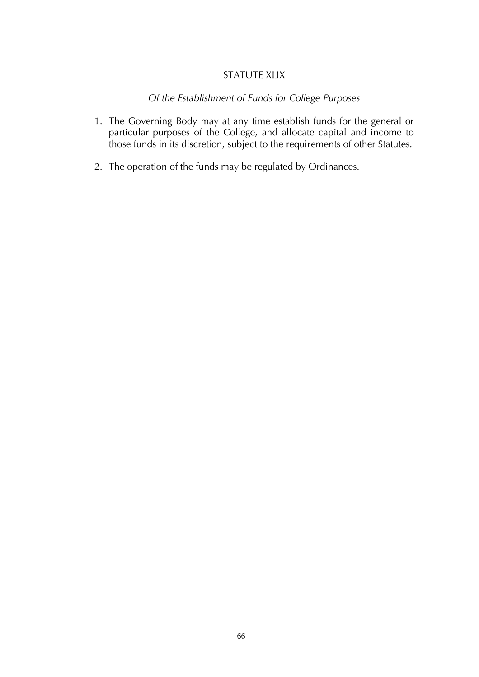# STATUTE XLIX

# *Of the Establishment of Funds for College Purposes*

- 1. The Governing Body may at any time establish funds for the general or particular purposes of the College, and allocate capital and income to those funds in its discretion, subject to the requirements of other Statutes.
- 2. The operation of the funds may be regulated by Ordinances.